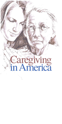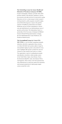# The Schmieding Center for Senior Health and **Education of Northwest Arkansas (SCSHE),**

located in Springdale, Arkansas, provides older adults and their families with education, healthcare, information resources and other services for more positive aging. Education services in-clude unique in-home caregiver training programs, public programs on positive aging, and professional programs to improve the geriatric expertise of healthcare professionals and students. Healthcare services include comprehensive clinical care and rehabilitation by an interdisciplinary team of geriatric professionals. The Schmieding Center is a partnership of the University of Arkansas for Medical Sciences Donald W. Reynolds Institute on Aging, the Area Health Education Center-Northwest, and Northwest Health System.

#### The International Longevity Center-USA

(ILC-USA) is a not-for-profit, nonpartisan research, education, and policy organization whose mission is to help individuals and societies address longevity and population aging in positive and productive ways, and to highlight older people's productivity and contributions to their families and society as a whole. The organization is part of a multinational research and education consortium, which includes centers in the United States, Japan, Great Britain, France, the Dominican Republic, India, Sub-Saharan Africa, and Argentina. These centers work both autonomously and collaboratively to study how greater life expectancy and increased proportions of older people impact nations around the world.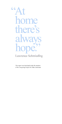66 Lawrence Schmieding

> This report was developed under the auspices of the Caregiving Project for Older Americans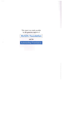This report was made possible by the generous support of

**MetLife Foundation** 

and the

**Schmieding Foundation**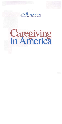

#### **ILC-SCSHE TASKFORCE**





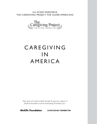ILC-SCSHE TASKFORCE THE CAREGIVING PROJECT FOR OLDER AMERICANS



# CAREGIVING I N AMERICA

This report was made possible through the generous support of MetLife Foundation and the Schmieding Foundation, Inc.

**MetLife Foundation** SCHMIEDING FOUNDATION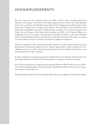# ACKNOWLEDGMENTS

Both this report and the Caregiving Project for Older Americans have benefited greatly from interviews and ongoing conversations with leading caregiving experts. Former First Lady Rosalynn Carter, who is president of the Rosalynn Carter Institute for Caregiving; Jeremy Boal, director of the Mount Sinai Visiting Doctors Program; Steve Dawson, Steven Edelstein, and Carol Rodat of the Paraprofessional Healthcare Institute; Val Halamandaris, president of the National Association for Home Care and Hospice; Gail Gibson Hunt, president and CEO of the National Alliance for Caregiving; Carol Levine, director of the Families and Health Care Project at the United Hospital Fund; and Carol Raphael, president and CEO of the Visiting Nurse Service of New York––we extend our sincere thanks to everyone involved for sharing their insights and experiences.

We also are indebted to ILC board member Jackson Stephens, Jr., whose original educational grant launched the International Longevity Center's Arkansas Aging Project, which eventually led to the collaboration between the ILC and the Schmieding Center for Senior Health and Education on the Caregiving Project for Older Americans.

For their continued encouragement, inspiration, and friendship, we also thank Dr. David Lipschitz and Dr. Claudia Beverly at the Donald W. Reynolds Institute on Aging in Little Rock, Arkansas.

For its vision and generosity in supporting the Caregiving Project for Older Americans, we are indebted to the Schmieding Foundation. We also gratefully acknowledge the MetLife Foundation for its generous support of this publication.

Finally, this project would not have been possible without the generous support of Lawrence Schmieding.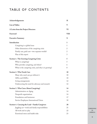# TABLE OF CONTENTS

| Acknowledgements                                      | $\mathbf{I}$   |
|-------------------------------------------------------|----------------|
| <b>List of Tables</b>                                 | $\bf V$        |
| A Letter from the Project Directors                   | VI             |
| Foreword                                              | VIII           |
| <b>Executive Summary</b>                              | X              |
| Introduction                                          | 1              |
| Caregiving is a global issue                          | $\mathbf{1}$   |
| Other dimensions of the caregiving crisis             | 2              |
| Family care, paid care—two separate worlds?           | $\overline{2}$ |
| Plan of this report                                   | 3              |
| <b>Section 1. The Growing Caregiving Crisis</b>       | 5              |
| What is caregiving?                                   | 5              |
| Who provides caregiving, and where?                   | 6              |
| What is the caregiving crisis, and why is it growing? | 8              |
| <b>Section 2. Who Needs Care</b>                      | 10             |
| Many who need care go without it                      | 10             |
| ADLs and IADLs                                        | 10             |
| Living arrangements                                   | 12             |
| Underscoring the need for advocacy and research       | 12             |
| <b>Section 3. Who Cares About Caregiving?</b>         | 14             |
| Administration on Aging                               | 14             |
| Nonprofit organizations                               | 14             |
| Foundations and businesses                            | 17             |
| Service Employees International Union                 | 18             |
| Section 4. Carrying the Load - Family Caregivers      | 20             |
| Juggling act-work and family responsibilities         | 21             |
| All work and no play                                  | 22             |
| Emotional stress and health risks                     | 23             |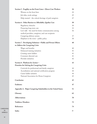| Section 5. Fragility on the Front Lines-Direct Care Workers    | 24  |
|----------------------------------------------------------------|-----|
| Women on the front lines                                       | 24  |
| Job titles, work settings                                      | 25  |
| Help wanted - the critical shortage of paid caregivers         | 27  |
| Section 6. Other Barriers to Affordable, Quality Care          | 30  |
| Regulatory obstacles                                           | 30  |
| Financing long-term care                                       | 33  |
| Let's talk - the need for better communication among           | 36  |
| medical providers, caregivers, and care recipients             |     |
| Caregiving delivery system                                     | 37  |
| Elephant in the room $-$ public policy                         | 38  |
| Section 7. Developing Solutions-Public and Private Efforts     | 40  |
| to Address the Caregiving Crisis                               |     |
| Wages and benefits                                             | 40  |
| Enhanced training initiatives                                  | 41  |
| Creating career ladders                                        | 41  |
| Consumer-directed care                                         | 41  |
| Provider initiatives                                           | 42  |
| Section 8. Platform for Action-                                | 43  |
| <b>Priorities for Solving the Caregiving Crisis</b>            |     |
| Curricula for professional and family caregivers               | 44  |
| Accreditation and national certification program               | 44  |
| Career ladder initiative                                       | 44  |
| National Association for Home Caregivers                       | 45  |
| Conclusion                                                     | 45  |
| <b>Endnotes</b>                                                | 47  |
| Appendix A. Major Caregiving Stakeholders in the United States | 51  |
| Glossary                                                       | 62  |
| <b>Abbreviations</b>                                           | 70  |
| <b>Taskforce Members</b>                                       | 73  |
| <b>References</b>                                              | 74  |
| <b>Index</b>                                                   | šš. |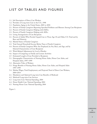# LIST OF TABLES AND FIGURES

- 1.1. Job Description of Direct Care Workers
- 1.2. Providers of Long-term Care in the U.S., 1998
- 1.3. Population Aging in the United States, 2005 to 2050
- 2.1. Percent of Family Caregivers Reporting Specified Problems and Illnesses Among Care Recipients
- 2.2. Percent of Family Caregivers Helping with IADLs
- 2.3. Percent of Family Caregivers Helping with ADLs
- 2.4. Living Arrangements of Care Recipients
- 4.1. Percent of Adults Who Provide Unpaid Care to Those Age 18 and Older, U.S. Total and by Race and Ethnicity
- 4.2. Marital Status of Family Caregivers
- 4.3. Total Annual Household Income Before Taxes of Family Caregivers
- 4.4. Percent of Family Caregivers Who Are Employed, by Sex, Race, and Age, and by Selected Characteristics of Care Recipients
- 4.5. Work-Related Adjustments by Level of Burden
- 4.6. Impact of Caregiving on Family and Leisure Activities
- 4.7. Estimated Length of Care Provided to Recipients
- 5.1. Demographic Characteristics of Nursing Home Aides, Home Care Aides, and Hospital Aides, 1997–1999
- 5.2. Alternative Titles of Workers
- 5.3. Fringe Benefits of Nursing Home Aides, Home Care Aides, and Hospital Aides 1997–1999
- 5.4. Median Wages, Total Employment, and Projected Need of Direct Care Workers, 2004–2014
- 6.1. Mandatory and Optional Long-term Care Benefits of Medicaid
- 6.2. Medicaid Long-term Care Services
- 6.3. Long-term Care: National Spending, 2004
- 6.4. Home Health Care: National Spending, 2004
- 6.5. Nursing Home Care: National Spending, 2004

Figure 1.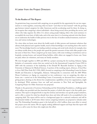### A Letter from the Project Directors

#### **To the Readers of This Report:**

As geriatricians long concerned with caregiving, we are grateful for the opportunity for our two organizations to work together, connecting what we know—and what we have learned—with the growing gap between trained caregivers for older Americans and the accelerating need for them. In doing so, we recognize that caregiving is about individuals—those being served, those providing the service, and others who help organize the effort. It is about caring people helping others who need assistance to accomplish the most basic of daily tasks, and at the same time it is a looming national crisis that threatens to undermine the health of older persons even in the face of modern medical treatment, social services, and various technologies.

At a time when we know more about the health needs of older persons and treatment solutions that advance both physical and cognitive health, much of that knowledge is not reaching those who need it most. The knowledge found in our leading medical, nursing, and social work schools, for example, does not always trickle down to the people who spend the greatest amounts of time with older people in the last years of their lives. Those caregivers go by many names, with some working in institutions such as hospitals, nursing homes, and assisted-living facilities, while others are engaged in home care. Some are paid, others are volunteers, and many are family members.

We were brought together in 2004 and 2005 by a project assessing the far-reaching Arkansas Aging Initiative of community centers that was carried out by the International Longevity Center-USA in 2005 with the assistance of the leadership of the Donald W. Reynolds Institute on Aging at the University of Arkansas for Medical Sciences. A portion of the resulting report, *Arkansas: A Good Place to Grow Old?* (New York: ILC-USA, 2005), focused on caregiving at the Schmieding Center for Senior Health and Education in Springdale, Arkansas. Subsequently in connection with the 2005 White House Conference on Aging, we cooperated on two conferences—one on caregiving, the other on home care— carried out at the Schmieding Center. Concurrently, we discussed how a national caregiving project, drawing on the diverse but complementary capabilities of our two organizations, might be developed. With assistance from our staff and associates in New York and Springdale, the Caregiving Project for Older Americans was proposed.

Thanks to the generosity of Lawrence Schmieding and the Schmieding Foundation, a challenge grant of \$1 million was provided and thus launched the project, of which this report is the first public presentation. This report is designed both to map the territory and introduce our specific project initiatives, and to offer a context for what has already been done and what still needs to be accomplished in the caregiving field. The report will be used as a background paper for a national conference and will be disseminated widely to all 50 states where various caregiving initiatives are proposed or already under way. The Schmieding Foundation grant is the lead gift for a \$4.2 million, three-year effort to extend this project across the nation. We are eagerly seeking additional support and hope that this report will serve as a call to arms for those who might join this effort.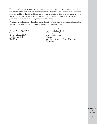We invite readers to make comments and suggestions, since solving the caregiving crisis will only be possible with a vast cooperative effort among people who care about good health across the life course from early childhood through adulthood and into older age. Aging is about everyone, and everyone is affected by it. Clearly, caregiving is a systemic matter whose impact is multifaceted and cuts across the generations. Please contact us at caregivingproject@ilcusa.org.

Finally, we salute Lawrence Schmieding, a true champion of caregiving for older people in America, whose steadfast leadership and support have enabled this project to proceed.

Robert N. Butler

Robert N. Butler, M.D. Larry Wright, M.D. President and CEO Director

Lang Shift

ILC-USA Schmieding Center for Senior Health and Education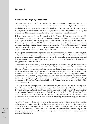# Foreword

#### **Unraveling the Caregiving Conundrum**

"At home, there's always hope," Lawrence Schmieding has remarked with more than casual concern, growing out of personal experience. This remarkable agri-business leader and philanthropist encountered difficulty arranging caregiving services for his older brother some years ago. The up-close and highly personal experience caused him to ask, "If people of means are hard-pressed to find caregiving solutions for older family members and relatives, what about others who lack resources?"

Driven by his concern for the caregiving needs of family, friends, neighbors, and other citizens in his hometown of Springdale, Arkansas, Mr. Schmieding was inspired to provide funding for a multifaceted outpatient center with caregiving services and education at the core of its mission. The Schmieding Center for Senior Health and Education and several satellite centers provide services to older people and their families throughout northwest Arkansas. We asked Mr. Schmieding to consider supporting a caregiving project that would build on the Arkansas experience by launching a national project to improve and elevate paid caregiving in the home.

With a special interest in developing national curricula, standards of care, a career ladder for caregivers and possibly even an organization to work on behalf of these undervalued workers, we wanted to begin a process that appreciates the considerable work on caregiving done by various national, regional, and local organizations in the nonprofit, private, and public sectors but still addresses the vital national need for appropriately trained individuals.

That there is a current and looming crisis in caregiving is not in dispute. Although this report focuses on the caregiving needs of older Americans, the crisis affects younger adults and children with disabilities, too. With a growing population of older persons constituting a larger percentage of the adult public, the inevitable need for caregiving services in the home, whether provided by paid caregivers, family members or both, is striking. In the face of this situation, the recruitment, training, and retention of caregivers who are paid a living wage is critical, yet there is no comprehensive plan to make this happen. Thus, the Caregiving Project for Older Americans was born with a generous \$1 million challenge grant from the Schmieding Foundation and with a goal of ultimately raising an additional \$3.2 million over a three-year period.

This project, and the report presented here, represent a cooperative effort between our two organizations, the International Longevity Center-USA, an affiliate of Mount Sinai School of Medicine in New York City, and the Schmieding Center, which is a program of the Donald W. Reynolds Institute on Aging of the University of Arkansas for Medical Sciences in Little Rock. The Schmieding Center offers direct patient services, education, and caregiver training, while the ILC-USA focuses its energies on research, education, and advocacy to advance healthy aging and productive engagement of older people and to combat ageism.

*Caregiving in America* offers a context for caregiving and an overview of the caregiving field, providing an inventory of work done over the years by various academic, professional, and service organizations. This background study is a prelude to our own project and acknowledges the considerable achievements and contributions of others. At the same time much needs to be done –– the training, standard setting, and organization and delivery of caregiving. We believe we have much to do to address the challenges that lie ahead.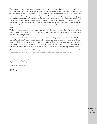The continuing caregiving crisis is a condition that began so incrementally that few were initially aware of it. Now millions face its challenges in daily life. We ask both what we know about caregiving and who actually cares about caregiving. We consider the several major surveys aimed at understanding and monitoring the caregiving crisis. We take a detailed look at family caregivers and construct a profile of the direct care worker. We try defining the crisis and suggesting pathways for coping with it. We look at research that must be continued and developed to monitor and evaluate the experiences of families, regulators, paid caregivers, and others as the basis for policy recommendations, and, finally, we offer an agenda for action, including public policy and ideas for all sectors involved in the caregiving task.

We hope to engage caregiving experts and civic-minded individuals who can help in the process of fully understanding the dimensions of this challenge, and in providing greater awareness by the public, professionals, and policymakers.

This report owes its existence to many conversations between the principals and staff of the ILC-USA and the Schmieding Center. Its lead author is Dr. Ken Knapp, an economist and senior research analyst at the ILC, who worked closely with Vivienne Lorijn de Usandivaras, policy analyst and researcher. The entire ILC-SCSHE caregiving team listed at the end of this report made contributions. The report was edited by Judith Estrine, executive editor, and the cover was designed by Herbert Reade.

We marshal the shared interests of two organizations deeply committed to caregiving and join it with the national conversation on the topic, one often blocked by economic and social barriers.

hun Ebb

Everette E. Dennis, Ph.D. Executive Director ILC-USA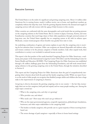# Executive Summary

The United States is in the midst of a significant and growing caregiving crisis. About 1.4 million older Americans live in nursing homes, nearly 6 million receive care at home, and significant numbers go completely without the help they need. And the growing disparity between the demand and supply of caregiving services will only worsen with the aging of baby boomers in this country.

Other countries are confronted with the same demographic and social trends that are putting pressure on the caregiving industry in the United States. But in contrast to Japan, Germany, Austria, and some Scandinavian countries that reach large shares of their older populations through universal systems of long-term care, the United States arguably has no caregiving system at all, with its reliance upon Medicaid, a means-tested program whose benefits vary greatly from state to state.

An underlying combination of ageism and sexism explains in part why the caregiving crisis is receiving far less attention than it warrants. Older care recipients are deemed disposable and without value, and women continue to be the primary caregivers of family members. Like other unpaid work, their contribution to society is not included in national income accounts.

This report is the first product of the newly launched Caregiving Project for Older Americans*,* a multiyear, joint project of the International Longevity Center-USA (ILC) and the Schmieding Center for Senior Health and Education (SCSHE). The Caregiving Project for Older Americans was established through a \$1 million challenge grant from the Schmieding Foundation, and will work toward developing solutions to the growing caregiving crisis in the United States, through the initiatives described in Section 8.

This report and the Caregiving Project for Older Americans share the goal of comprehensively integrating what is known about both the paid and the family caregiving worlds. While our report focuses on the needs of older people, we recognize that disabled younger adults and children also have a large stake in the improvement of caregiving in America.

*Caregiving in America* documents the growing caregiving crisis in our country — the fact that, increasingly, there are too few caregivers, both paid and unpaid, and too many people needing care. Among the major topics covered are:

- What is the caregiving crisis, and why is it growing?
- Who provides care, and where?
- Who needs care? How many who need care go without it?
- Who are the major governmental agencies, nonprofit organizations, philanthropic foundations, businesses, and other major stakeholders in the caregiving field?
- The burden on family caregivers, who provide care to a great majority of those receiving homebased care
- The severe shortage of paid caregivers—especially of those in home-based settings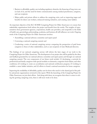- Barriers to affordable, quality care including regulatory obstacles, the financing of long-term care (or lack of it), and the need for better communication among medical practitioners, caregivers, and care recipients
- Major public and private efforts to address the caregiving crisis, such as improving wages and benefits for direct care workers, enhanced training initiatives, and creating career ladders.

An important objective of the ILC-SCSHE Caregiving Project for Older Americans is to ensure that stakeholder organizations both inform the project and benefit from the results. The insights of representatives from government agencies, corporations, health care providers, and nonprofits in the fields of health care, gerontology, policymaking, academia, and business all will influence our work. Ongoing work of the Caregiving Project for Older Americans involves:

- Assembling a national advisory committee and expert panel
- Convening a national caregiving summit and
- Conducting a series of national caregiving surveys comparing the perspectives of paid home caregivers to those of other stakeholders, such as care recipients of state Medicaid directors.

The findings of our national caregiving surveys will inform the later stages of our work in the Caregiving Project for Older Americans*.* The development of our project also will be guided by the ideas and feedback generated by our national advisory committee and expert panel, and through our national caregiving summit. The core components of our future work include: (1) developing a curricula for professional and family caregivers with special modules on dementia, congestive heart failure, and other conditions; (2) working to create an accreditation and national certification program; (3) working to establish a career ladder initiative, and (4) efforts to found a national association for home caregivers.

Improving the availability of affordable, quality care for those who need it is the shared goal of the public and private organizations reviewed in this report. With the launching of the Caregiving Project for Older Americans, we join their efforts. And along with them, we recognize that when it comes to solving the growing caregiving crisis, there is still more work to be done.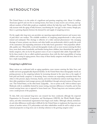# INTRODUCTION

The United States is in the midst of a significant and growing caregiving crisis. About 1.4 million Americans aged 65 and over live in nursing homes, four times as many receive care at home, and significant numbers of frail older people go completely without the help they need. These numbers will only increase with the aging of baby boomers, exacerbating the "care gap" in this country. Simply put, there is a growing disparity between the demand for and supply of caregiving services.

On the supply side, long-term care providers are reporting unprecedented turnover and vacancy rates of paid direct care workers. The available workforce of caregiving paraprofessionals is often poorly trained and underpaid. This shortage is reflective of a wider national phenomenon—the emerging shortage of nurses, primary care doctors, and other health care professionals, which is partly the result of the maturation and impending retirement of the baby boom generation—that jeopardizes affordable, quality care.<sup>1</sup> Meanwhile, social and demographic trends, such as more women entering the labor force, more dual-earner households, and families having fewer children, have diminished the supply of family caregivers, who are by far the greatest source of care to impaired older adults. Especially hardhit by these trends is the so-called sandwich generation, those with the dual responsibility of rearing children and caring for aging parents. Since many of these family caregivers work full-time, there is in fact a triple responsibility.

### **Caregiving is a global issue**

Many nations are confronted with an aging population, more women entering the labor force, and smaller and more geographically dispersed families. In the United States these demographic trends are putting pressure on the caregiving industry by increasing demand at the same time as the supply of both paid and family caregivers<sup>2</sup> is decreasing. Some countries are responding somewhat better than others to this pressure. Japan, Germany, Austria, and some Scandinavian nations reach large shares of their older populations (and younger persons with disabilities) through universal systems of long-term care.3 The United States, on the other hand, "[a]rguably. . . has no system at all," with its reliance upon Medicaid, with its availability limited by means-testing, interstate differences in benefits, and its bias toward nursing home care as opposed to home-based care.<sup>4</sup> Private long-term care insurance policies cover a small percent of the population.

To date, little cross-national long-term care research has been conducted, although the respected Organisation for Economic Cooperation and Development (OECD), the World Health Organization, and other international organizations have begun such studies. Although cultural, institutional, and other differences would make it difficult for the United States to implement the long-term care system of another nation, U.S. policymakers and other stakeholders would do well to adopt an international perspective on long-term care to develop solutions to the growing caregiver crisis.<sup>5</sup>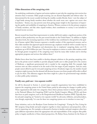## **Other dimensions of the caregiving crisis**

An underlying combination of ageism and sexism explains in part why the caregiving crisis receives less attention than it warrants. Older people receiving care are deemed disposable and without value.<sup>6</sup> As demonstrated by the recent scandal involving the wealthy socialite Brooke Astor—now the subject of a legal battle among family members about whether she needs more care—ageism cuts across class boundaries.7 Sexism, too, may prevent some from giving proper weight to the importance of improving the quality and availability of caregiving in America. Women continue to be the primary caregivers of family members, and like other unpaid workers, their contribution to society is not included in national income accounts.

Recent research has found that improvements in worker skill levels explain a significant portion of the growth in labor productivity over the past several decades in the United States.<sup>8</sup> In addition to higher education levels, the increasing experience of the workforce has contributed to this growth in the quality of human capital. Baby boomers represent a sizeable number of this experienced resource, and as their older members fast approach typical retirement age, employers would do well to consider ways to attract or retain them. Disruptions and absenteeism due to employees' caregiving duties cost U.S. employers up to \$33.6 billion per year.<sup>9</sup> One way for employers to attract or retain older workers would be through greater recognition of the caregiving issues faced by many older workers and to develop appropriate programs and services that address them.<sup>10</sup>

Market forces alone have been unable to develop adequate solutions to the growing caregiving crisis. Just as the private sector's inability to provide adequate health care to older people led to the creation of Medicare, a significant governmental role is needed in the caregiving field. For example, high turnover rates are often assumed to be the result of the low wages of paid caregivers. And yet, many people cannot afford to pay for even paid caregiving services. If industry wages rise, the number of paid caregivers might increase, but the demand will decrease because even fewer people will be able to afford to pay for them. This dilemma suggests that there might be a place for governmental wage subsidies or other public policy initiatives.

### **Family care, paid care—two separate worlds?**

As will be discussed in Section 3, several major nonprofit organizations have been established to improve the caregiving system in the United States, partly by advocating for changes in public policy. These organizations fall under two categories: those whose primary interest is family caregivers, such as the National Alliance for Caregiving (NAC) and the Family Caregiver Alliance (FCA), and those that focus on paid caregivers, such as the Paraprofessional Healthcare Institute (PHI). Typically, family and paid caregiving are "treated as two separate worlds" by advocates, lobbyists, and policymakers, even though, empirically, "it is rare for these two caregiving systems not to interface in some way."<sup>11</sup>

Some initiatives, such as the Rosalynn Carter Institute for Caregiving's "Caring for You, Caring for Me" program, bring family and paid caregivers together to share experiences and perspectives, with a view to improving care. For example, as discussed in Section 6, families and paid caregivers often have quite different expectations about the appropriate role and responsibilities of the caregiver. But public policy is largely unreflective of these shared perspectives. Dr. Robyn Stone, Institute for the Future of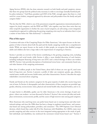Aging Services (IFAS), who has done extensive research on both family and paid caregivers, stresses that these two groups lack the political unity necessary in order to encourage mutually beneficial public policy initiatives.12 Gail Hunt, president and CEO of the NAC, strongly agrees that there is a vital need for a more holistic, integrated approach by advocates and policymakers from the family and paid caregiver fields.<sup>13</sup>

The fact that the NAC, which is one of the preeminent nonprofit organizations interested primarily in support for *family* caregivers, and the IFAS and PHI,<sup>14</sup> who together, may have done more than any other nonprofit organization to further the cause of *paid* caregivers, are advocating a more integrated, comprehensive approach to addressing the growing caregiving crisis may be an indication that it is just a matter of time before the "false dichotomy"15 is dissolved.

### **Plan of this report**

Consistent with aims of the Caregiving Project for Older Americans,<sup>16</sup> this report focuses on the integration of what is known about both the paid and the family caregiving worlds into a comprehensive whole. While our report focuses on the needs of older people, we recognize that disabled younger adults and children also have a large stake in the improvement of caregiving in America.

Section 1 provides an overview of the factors contributing to the growing caregiving crisis, including demographic and social trends, while Section 6 offers a more detailed discussion of such barriers, including inadequate financing of long-term care (LTC) and a critical shortage of direct care workers (DCW). Section 1 also provides descriptions of institutional versus home- and community-based care, and other features of the caregiving environment.

More than 12 million people in the United States, about half of whom are over age 65, need some kind of long-term care. Section 2 presents a profile of older care recipients: gender, age, ethnicity, marital status, wealth and income, health status, and other characteristics. Section 3 describes the major stakeholders concerned about caregiving.

Family and friends are the exclusive caregivers for the great majority of adults who receive long-term care at home. In Section 4, demographic and other characteristics of these caregivers are provided: age, gender, ethnicity, socioeconomic status, physical and mental health risks, financial burdens, and so on.

A major barrier to affordable, quality care for older Americans is the severe shortage of paid caregivers—direct care workers—an issue discussed in Section 5. Section 5 also reviews job titles and workplace environment, socioeconomic profile, and the causes of high turnover rates among paid caregivers.

Most Americans who need long-term care prefer home-based care to nursing homes and other institutional settings, and since the 1980s there has been a change in emphasis toward home- and community-based care among policymakers, providers, and consumers.17 The 1999 Supreme *Court Olmstead* decision, which found that, under title II of the Americans with Disabilities Act (ADA), states must provide caregiving and other services in the most integrated setting appropriate to the needs of qualified individuals and disabilities, has reinforced the movement toward home-based care.18 Section 5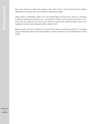gives most attention to those paid caregivers who work in home- and community-based settings, although we touch upon direct care workers in institutional settings.

Other barriers to affordable, quality care in the United States are discussed in Section 6, including inadequate financing of long-term care; communication barriers among medical practitioners, caregivers, and care recipients; the need for more effective, locally based, caregiving deliver systems; and regulatory restrictions governing permissible caregiver duties.

Relevant public and private initiatives to overcome these barriers are reviewed in Section 7, including wage pass-throughs, enhanced training initiatives, consumer-directed care, and development of career ladders.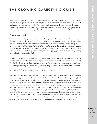# THE GROWING CAREGIVING CRISIS

Basically, the caregiving crisis is occurring because there are too few caregivers, both paid and unpaid, and too many people needing care. Demographic and social trends are reducing the available pool of family caregivers at the same time that the number of older people needing care is rising. The caregiving industry, meanwhile, is experiencing a severe, and worsening, shortage of paid paraprofessionals. Affordable, quality care is increasingly difficult—if not altogether impossible—to find.

#### **What is caregiving?**

There is no universally agreed-upon definition of caregiving, either in the literature<sup>19</sup> or in practice. Generally, the term refers to services that are provided to people who are unable to care for themselves due to a disability or functional limitation, usually defined in terms of *activities of daily living* (ADLs) or *instrumental activities of daily living* (IADLs).20 ADLs refer to basic self-care functions, such as bathing, dressing, using the toilet, getting in and out of beds and chairs, and eating. IADLs include functions related to maintaining independence, such as shopping, preparing meals, managing money, and performing housekeeping duties.

Measures of ADLs and IADLs are widely used by researchers and policymakers to analyze caregiving activities and to assess the level of care required of caregivers. But as Carol Levine, of the United Hospital Fund, has argued these measures of care recipients' limitations "do not convey the full spectrum or degree of complexity of the family caregiver's responsibility."21 Missed in the ADL and IADL measures are such significant caregiver activities as behavior supervision, pain management, and advocacy on behalf of the care recipient within the health care system.<sup>22</sup>

Following the generally accepted usage in the caregiving literature, in this document the term *caregiving* denotes supportive, nonmedical, mostly low-tech services (such as help with bathing or eating) and some medical services (such as administering oral and intravenous medications and attending to wounds). Caregivers may be divided into two groups—formal caregivers, also called paid direct care workers, and informal or family caregivers. Both *informal caregiver* and *family caregiver* are problematic terms. The word *informal* has the unintentional connotation of laxity; and the term *family caregiver* usually refers not just to care by family members, but also to care by friends, neighbors, and volunteers. Even the term *caregiver* is not without controversy, since some observers prefer to use it exclusively to mean informal (family) help. Throughout this report, *formal* or *paid* caregivers are sometimes called *direct care workers* or *paraprofessionals*; and this group is distinct from *family, unpaid,* or *informal* caregivers. When the term *caregiver* stands alone, both formal and informal caregivers are meant.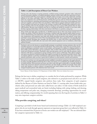#### **Table 1.1. Job Description of Direct Care Workers**

*Nursing aides*, also known as nursing assistants, certified nursing assistants, geriatrics aides, unlicensed assistive personnel, orderlies, or hospital attendants, perform routine tasks under the supervision of nursing and medical staff. They answer patients' call lights, deliver messages, serve meals, make beds, and help patients to eat, dress, and bathe. Aides may also provide skin care to patients, take their temperature, pulse rate, respiration rate, and blood pressure, and help them get into and out of bed and walk. They also may escort patients to operating and examining rooms, keep patients' rooms neat, set up equipment, store and move supplies, and assist with some procedures. Aides observe patients' physical, mental, and emotional conditions and report any change to the nursing or medical staff. Nursing aides employed in nursing care facilities often are the principal caregivers, having far more contact with residents than do other staff members. Because some residents may stay in a nursing care facility for months or even years, aides develop ongoing relationships with them and interact with them in a positive, caring way.

*Home health aides* help aged, convalescent, or disabled persons live in their own homes instead of in a health care facility. Under the direction of nursing or medical staff, they provide health-related services, such as administering oral medications. Like nursing aides, home health aides may check patients' pulse rate, temperature, and respiration rate, help with simple prescribed exercises, keep patients' rooms neat, and help to move patients from bed. They may help patients bathe, dress, and groom. Occasionally, they change nonsterile dressings, give massages and alcohol rubs, or assist with braces and artificial limbs. Experienced home health aides also may assist with medical equipment such as ventilators, which help patients breathe.

*Psychiatric aides* are also known as mental health assistants or psychiatric nursing assistants, who care for mentally impaired or emotionally disturbed individuals. They work under a team that may include psychiatrists, psychologists, psychiatric nurses, social workers, and therapists. In addition to helping patients to dress, bathe, groom themselves, and eat, psychiatric aides socialize with patients and lead them in educational and recreational activities. Psychiatric aides may play games such as cards with the patients, watch television with them, or participate in group activities, such as sports or field trips. They observe patients and report any physical or behavioral signs that might be necessary for the professional staff to know. They accompany patients to and from examinations and treatment. Because they have such close contact with patients, psychiatric aides can have a great deal of influence on their patients' outlook and treatment.

*Personal care and home care aides* generally provide unskilled, nonmedical caregiving to the aged, physically and/or mentally disabled and ill who live in their own homes or in residential care facilities instead of in health facilities. Most personal and home care aides work with aged or physically or mentally disabled clients who need more extensive personal and home care than family or friends can provide. Some aides work with families in which a parent is incapacitated and small children need care. Others help discharged hospital patients with relatively short-term needs.

Source: Bureau of Labor Statistics, U.S. Department of Labor (2006). Most text verbatim from source.

Perhaps the best way to define caregiving is to consider the list of tasks performed by caregivers. While Table 1.1 refers to the tasks of paid caregivers, also referred to as *paraprofessionals* and *direct care workers* (DCW), unpaid family caregivers also perform these tasks. Four categories of paid caregivers defined by the Bureau of Labor Statistics are listed in Table 1.1: nursing aides, home health aides, psychiatric aides, and personal care aides (also called home care aides). A wide variety of both medical (or quasi-medical) and nonmedical tasks are listed, including helping with eating, bathing, and dressing, taking temperature and pulse rate, changing nonsterile dressings, providing opportunities for socialization, and offering companionship. It is worth repeating that even the long list of activities in Table 1.1 may miss important caregiver activities.

#### **Who provides caregiving, and where?**

Caregiving is provided in both home-based and institutional settings (Table 1.2). Self-employed caregivers who do not work through agencies represent an important group that is not reflected in Table 1.2. It has been estimated that 29 percent of home care workers are self-employed.<sup>23</sup> Nor are informal (family) caregivers represented in Table 1.2.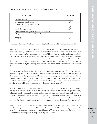### **TABLE 1.2. PROVIDERS OF LONG-TERM CARE IN THE U.S., 1998**

| <b>TYPE OF PROVIDER</b>                           | <b>NUMBER</b> |
|---------------------------------------------------|---------------|
| Nursing facilities                                | 17,458        |
| Intermediate care facilities                      | 6,553         |
| Residential facilities for adults/aged            | 51,227        |
| Residential facilities for non-aged               | 13,277        |
| Adult day care centers                            | 3,590         |
| Home health care agencies (certified or licensed) | 23,263        |
| Hospice organizations (certified or licensed)     | 4,336         |
| TOTAL.                                            | 119,704       |

Source: U.S. Department of Health and Human Services, Health Resources and Services Administration (2004).

About 80 percent of care recipients age 65 or older live in home- or community-based settings, the remainder in nursing facilities.<sup>24</sup> In addition to private homes and institutional nursing facilities, care is provided in group settings such as assisted-living facilities, congregate housing, residential care facilities, and adult day care centers. Although often included within the term *home-based care*, often these services are more institutional in character and resemble traditional nursing homes. There is considerable variation in terminology across states and among caregiving experts, and the distinction among these different types of group settings, and between them and institutional settings for care, is often cloudy.25

Caregiving advocate Lawrence Schmieding says, "At home, there's always hope." But when it comes to group housing, the line becomes blurred. What is a *home*, and what is an institution? Arriving at a clear-cut answer to this question is problematic even among caregiving and housing experts. As the Visiting Nurse Service of New York's Center for Home Care Policy and Research points out, "Confusion over terminology impedes the collaborative thinking and clear communication necessary for joint housing-LTC policy development" by disparate decision makers.<sup>26</sup>

As suggested in Table 1.1, various titles are used for paid direct care workers (DCWs). For example, nursing aides are also referred to as nursing assistants, certified nursing assistants, geriatrics aides, unlicensed assistive personnel, orderlies, patient care assistants, resident assistants, and—simply caregivers.27 The term caregiver also is used as a synonym for home health aide (HHA), a job title classified by the Bureau of Labor Statistics that has many alternatives: residential counselor, home health provider, rehabilitation training specialist, direct support person, personal care attendant, and so on.<sup>28</sup>

Nearly 80 percent of adults who receive care at home rely exclusively on unpaid help from family and friends. Only 8 percent of consumers of home-based care receive all of their care solely from paid workers, and 14 percent rely on both paid and unpaid workers. This means that family and friends provide support to well over 90 percent of people receiving care at home.<sup>29</sup>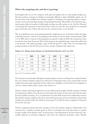# **What is the caregiving crisis, and why is it growing?**

Increasingly, there are too few caregivers, both paid and unpaid, and too many people needing care. Growing numbers of people are finding it increasingly difficult to obtain affordable, quality care. At the same time as the available pool of family caregivers is shrinking, the caregiving industry is experiencing a severe, and worsening, shortage of paid paraprofessionals. Meanwhile, as the baby boom generation grows older, the number of older people needing care will continue to rise. And the "blessing" of increasing life expectancy in the United States means not only that more people live to advanced age, but also that more of them will need care for a period of years or even decades.<sup>30</sup>

The most significant cause of increasing demand for caregiving services in the future will be the aging of the baby boomers,<sup>31</sup> and the U.S. population will continue to become old for several decades (Table 1.3). In 2005, about 17 percent of the population was age 60 or older; by 2050, this is projected to have increased to more than 26 percent. Most of this change in the population's age composition will be due to the growth of the older age groups—ages 70–84 and ages 85 or older. They are more likely than younger members of the 60-and-over set to have chronic conditions that require care.

|           | 2005 | 2015 | 2025  | 2050  |
|-----------|------|------|-------|-------|
| $60 - 65$ | 4.4% | 5.8% | 6.0%  | 5.3%  |
| $65 - 69$ | 3.4% | 4.8% | 5.6%  | 4.9%  |
| $70 - 84$ | 7.3% | 7.5% | 10.3% | 10.9% |
| $85+$     | 1.7% | 2.1% | 2.3%  | 5.0%  |

#### **TABLE 1.3. POPULATION AGING IN THE UNITED STATES,** 2005 **TO** 2050

Source: U.S. Census Bureau (2004).

Over the past several decades, although increasing numbers of women of all ages have entered the labor force, the majority of family caregivers are still women. Frequently, women carry a joint burden of paid employment and unpaid caregiving at home. Others are compelled to exit the labor force altogether to care for a family member, often a spouse. (See Section 4.)

Trends in family and living arrangements are also influencing the supply of family caregivers. Families are having fewer children. Over the past several decades the number of men and women who live alone has been steadily increasing.<sup>32</sup> It is an unfortunate irony that while women have traditionally served as their family's primary caregiver, when they reach advanced age and need care themselves, fewer family members are around to help. Two-thirds of women ages 75 or older live alone, compared to 29 percent of men the same age.<sup>33</sup>

Trends in migration patterns also have an impact on the role of family caregivers. Traditionally, it was customary for a majority of people age 60 or older to eventually move from their homes to another location, usually a short distance away.<sup>34</sup> In recent years, "a new phenomenon" has been observed, "a discernible dispersal of retirement migration" away from the traditional destination states—Florida,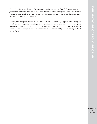California, Arizona, and Texas—to "newly favored" destinations such as Cape Cod, Massachusetts, the Jersey shore, and the Ozarks of Missouri and Arkansas.<sup>35</sup> These demographic trends will increase demand for paid caregivers in some regions while decreasing demand in others, and change the interface between family and paid caregivers.

By itself, this anticipated increase in the demand for care and decreasing supply of family caregivers would represent a significant challenge to policymakers and others concerned about ensuring the availability of affordable, quality care. But these trends are only part of the story, for the increasing pressure on family caregivers, and on those needing care, is exacerbated by a severe shortage of direct care workers.<sup>36</sup>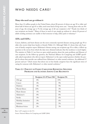# WHO NEEDS CARE?

#### **Many who need care go without it**

More than 12 million people in the United States, about 80 percent of whom are age 50 or older and about half of whom are age 65 or older, need some kind of long-term care.<sup>37</sup> Among those who are 50+ years of age, the average age is 75; the average age of all care recipients is 66.38 Nearly two-thirds of care recipients are female.<sup>39</sup> Many of those in need of care simply go without it—about 20 percent of adults needing assistance are unable to find someone to help, either paid or voluntary.<sup>40</sup>

# **ADLs and IADLs**

Base: 1,247 caregivers in the U.S.

Source: National Alliance for Caregiving and AARP (2004).

Cancer, diabetes, and heart disease are the most commonly reported diseases among people age 50 or older who receive help from family or friends (Table 2.1). Although Table 2.1 shows that only 8 percent of family caregivers report Alzheimer's disease among care recipients age 50 or older, a follow-up question in the survey from which the data were obtained indicates that the incidence is much higher. The statistics in Table 2.1 are from an open-ended question about the main problems and illnesses of care recipients. In the follow-up question, the National Alliance for Caregiving and AARP specifically asked respondents who did not report Alzheimer's in the open-ended question whether the people for whom they provide care suffered from Alzheimer's or other mental confusion. An additional 17 percent said yes—which means that about one in four family caregivers faces the significant stress of caring for someone with Alzheimer's or other mental confusion.<sup>41</sup>

| <b>TABLE 2.1 PERCENT OF FAMILY CAREGIVERS REPORTING SPECIFIED</b> |
|-------------------------------------------------------------------|
| PROBLEMS AND ILLNESSES AMONG CARE RECIPIENTS                      |

|                     | Recipient 18-49 Years Old | Recipient 50+ |
|---------------------|---------------------------|---------------|
| Old age             | $0\%$                     | 15%           |
| Cancer              | 4%                        | 9%            |
| <b>Diabetes</b>     | 4%                        | 9%            |
| Mental illness      | 23%                       | 3%            |
| Heart disease       | 1%                        | 9%            |
| Alzheimer's         | $0\%$                     | 8%            |
| Stroke              | 3%                        | 6%            |
| Mobility limitation | 3%                        | 6%            |
| Arthritis           | $0\%$                     | 5%            |
| Blindness/vision    | 2%                        | 3%            |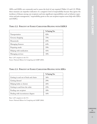ADLs and IADLs are commonly used to assess the level of care required (Tables 2.2 and 2.3). While these measures are imperfect indicators of a caregiver's level of responsibility because they ignore the incidence of disease among care recipients and miss significant responsibilities such as behavior supervision and pain management,<sup>42</sup> responsibility grows as the care recipient requires more help with ADLs and IADLs.

|                         | % Saying Yes |
|-------------------------|--------------|
| Transportation          | 82%          |
| Grocery shopping        | 75%          |
| Housework               | 69%          |
| Managing finances       | 64%          |
| Preparing meals         | 59%          |
| Helping with medication | 41%          |
| Managing services       | 30%          |

Base: 1,247 caregivers in the U.S.

Source: National Alliance for Caregiving and AARP (2004).

|                                       | % Saying Yes |
|---------------------------------------|--------------|
| Getting in and out of beds and chairs | 36%          |
| Getting dressed                       | 29%          |
| Helping bathe or shower               | 26%          |
| Getting to and from the toilet        | 23%          |
| Feeding care recipient                | 18%          |
| Dealing with incontinence diapers     | 16%          |

Base: 1,247 caregivers in the U.S.

Source: National Alliance for Caregiving and AARP (2004).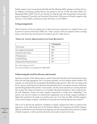WHO NEEDS CARE? **WHO NEEDS CARE?**

Family caregivers most commonly provide help with the following ADLs: getting to and from the toilet, bathing or showering, getting dressed, and getting in and out of beds and chairs (Table 2.3). Regarding IADLs (Table 2.2), the vast majority of caregivers help with transportation (82 percent), grocery shopping (75 percent), and housework (69 percent). Fifty percent of family caregivers help with one or more ADLs, and 80 percent help with three or more IADLs.<sup>43</sup>

# **Living arrangements**

About 55 percent of all care recipients live in their own homes, 24 percent in a caregiver's home, and 8 percent in someone else's home (Table 2.4). Only 5 percent of all care recipients reside in nursing homes, much lower than the 20 percent of recipients age 65 or older who do.

| TABLE 2.4. LIVING ARRANGEMENTS OF CARE RECIPIENTS |  |
|---------------------------------------------------|--|
|---------------------------------------------------|--|

|                               | % Saying Yes |
|-------------------------------|--------------|
| Own home                      | 55%          |
| In caregiver's household      | 24%          |
| Someone else's home           | 8%           |
| Nursing home                  | 5%           |
| Assisted-living               | $4\%$        |
| Independent living/retirement | 3%           |

Base: 1,247 caregivers in the U.S.

Source: National Alliance for Caregiving and AARP (2004).

# **Underscoring the need for advocacy and research**

Significant numbers of frail older people go entirely without the help they need. Unfortunately, among those who find help, appropriate care is not always provided—even by intimate family members. For example, one study found that among physically disabled people age 65 or older who were being cared for by a spouse, nearly 40 percent reported emotional distress from receiving the assistance, 50 percent reported being helped with activities "unnecessarily," and 28 percent reported not receiving help that they needed. This study was limited to care of people with physical limitations. Since caring for people with Alzheimer's disease and other cognitive impairments is usually more challenging,<sup>44,45</sup> the authors note that the incidence of inadvertently inappropriate care by family caregivers probably is higher than reported in the study, as its authors point out.<sup>46</sup> Less than one-fifth of family caregivers receive formal caregiver training.<sup>47</sup> and 28 percent reported not receiving help that they needed.<sup>48,49</sup>

This is not to discount the significant contribution of family caregivers but rather to underscore the importance of the work being done by the National Alliance for Caregiving, the Family Caregiver Alliance, the Rosalynn Carter Institute for Caregiving, and other organizations that advocate on behalf of family caregivers, as well as provide information and conduct research in this area.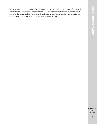Before moving on to a discussion of family caregivers and the significant burden they face, we will review in Section 3 some of the major nonprofits and other caregiving stakeholders devoted to improving caregiving in the United States. Our discussion covers both those organizations primarily concerned with family caregivers and those with paid paraprofessionals.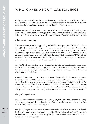# WHO CARES ABOUT CAREGIVING?

Family caregivers obviously have a big stake in the growing caregiving crisis, as do paid paraprofessionals. (See Sections 4 and 5.) As discussed in Section 1, caregiving agencies, too, such as home care agencies and nursing homes, have an obvious interest in the care of older Americans.

In this section, we review some of the other major stakeholders in the caregiving field, such as governmental agencies, nonprofit organizations, philanthropic foundations, businesses and trade associations, and unions. (Also see Appendix A, which includes many more organizations than those discussed here.)

### **Administration on Aging**

The National Family Caregiver Support Program (NFCSP), developed by the U.S. Administration on Aging (AoA), was established through enactment of the amendments to the Older Americans Act (OAA) in 2000.50 The NFCSP "was the first federal law to explicitly acknowledge the service needs of families of older people in their caregiving role."<sup>51</sup> More than a third of all states provide support to the caregivers of older people through the NFCSP, the total of which amounted to \$155.2 million in fiscal year 2003.52 The relatively limited NFCSP funding available to states leaves gaps in caregiver support services, which vary considerably from state to state.<sup>53</sup>

The NFCSP offers several direct services for caregivers, including assistance in gaining access to supportive services; counseling, support groups, and training; and respite care. Eligible populations for these services are family caregivers of older adults and grandparents, as well as other family members who are caregivers of children.

Another initiative of the AoA is the Eldercare Locator. Older people and their caregivers throughout the country can contact Eldercare Locator, by telephone or by Internet, to get contact information for state and local area agencies on aging and community-based organizations in their localities. The National Association of Area Agencies on Aging and the National Association of State Units on Aging work in partnership with the Eldercare Locator. The overall goal of the Eldercare Locator is to "help older persons live independently and safely in their homes and communities for as long as possible."54

#### **Nonprofit organizations**

Many nonprofit organizations are devoted to addressing caregiving issues in the United States through advocacy, education, original research, and other efforts. Generally, these nonprofits tend to focus either on family caregivers or on paid caregivers.

**Family caregiving:** Among the several major nonprofits in the United States concerned primarily with family caregivers are the National Alliance for Caregiving (NAC), the Family Caregiver Alliance (FCA), the Rosalynn Carter Institute for Caregiving (RCI), and the National Association of Professional Geriatric Care Managers (GCM).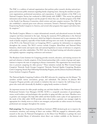The NAC is a coalition of national organizations that perform policy research, develop national programs and increase public awareness regarding family caregiving issues. Among the members are grassroots organizations, professional associations, and corporations. A major initiative of the NAC is its National Caregiver Survey, last conducted in 2004 (jointly with AARP).<sup>55</sup> This survey has gathered information about family caregivers and the people for whom they care. Another program of the NAC is the Family Care Resource Connection, which reviews and rates caregiver resources. The NAC has also established a national grass-roots advocacy movement, Toward a National Caregiving Agenda: Empowering Family Caregivers in America, and several other programs that support and inform family caregivers.<sup>56</sup>

The Family Caregiver Alliance is a major informational, research, and educational resource for family caregivers and those interested in the topic. Among the numerous FCA publications is the *National Consensus Report on Caregiver Assessment,* which has helped to document and to raise awareness of the needs of family caregivers, especially of their health and long-term care needs. An important initiative of the FCA is the National Center on Caregiving (NCC), a gateway for information on caregiving throughout the country. The NCC's services include Caregiver Alerts/State and National Policy Initiatives, which tracks and reports state and national legislation on issues of relevance to caregivers, policymakers, and other stakeholders. The NCC also has developed training and education programs and regularly organizes caregiving conferences and seminars.<sup>57</sup>

The Rosalynn Carter Institute for Caregiving provides research, education, and training resources for paid and volunteer or family caregivers. It has formed partnerships with a variety of groups and organizations to improve the state of caregiving in diverse communities. The organization has several initiatives to promote caregiving for older persons.<sup>58</sup> These initiatives include the West Central Georgia Caregivers' Network, South Georgia Caregivers' Network, National Quality Caregiving, Rosalynn Carter Caregiving Award, Pope Fellowship/Scholarship Program, and the Johnson & Johnson/Rosalynn Carter Institute Caregivers Program.

The National Quality Caregiving Coalition of the RCI advocates for caregiving over the lifespan.59 Its members include various associations, groups, and individuals. The Johnson & Johnson RCI Caregivers Program provides cash rewards to initiatives that aim to improve the well-being of caregivers who work with chronically ill, disabled, or aging family members or friends.<sup>60</sup>

An important resource for older people needing care and their families is the National Association of Professional Geriatric Care Managers (GCM). GCM is a nonprofit association of gerontologists, nurses, social workers, and psychologists who specialize in aging and elder care issues. Members serve as geriatric care managers who help older adults and their families create a plan of care appropriate to the needs of the older adult. GCM provides advice about when a geriatric care manager might be appropriate for a family, serves as a link to care managers, and provides an online resource for locating professional care managers throughout the country.

**Paid caregiving:** The Paraprofessional Healthcare Institute's (PHI) declared goals are to improve the recruitment, retention, and training of direct care workers. PHI has engaged in substantive policy research in this area. Its National Clearinghouse on the Direct Care Workforce is perhaps the most exhaustive, detailed library of information about direct care workers available on the Internet or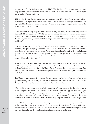anywhere else. Another influential body created by PHI is the Direct Care Alliance, a national advocacy group that represents consumers, workers, and providers in long-term care (LTC) and that promotes quality jobs and quality care.

PHI has also developed training programs, such as Cooperative Home Care Associates, an employeeowned home care agency in the South Bronx; Home Care Associates, an employee-owned home care agency in Philadelphia; and Independence Care System, an LTC program for people with physical disabilities living in New York City.<sup>61</sup>

There are several training programs throughout the country. For example, the Schmieding Center for Senior Health and Education (SCSHE) provides education and health care services for older adults and their families and health professionals. The SCSHE established the ElderStay@home Certified Home Caregiver Training program and a training program for family caregivers who care for a relative or friend.<sup>62</sup>

The Institute for the Future of Aging Services (IFAS) is another nonprofit organization devoted to improving the paid caregiving workforce. The IFAS is a research institute within the American Association of Homes and Services for the Aging (AAHSA). The AAHSA is itself a very influential policy-driven coalition of nonprofits that provide services to older people: adult day services, home health, community services, senior housing, assisted-living residences, continuing-care retirement communities, and nursing homes.<sup>63</sup>

A major goal of the IFAS is to build up the long-term care workforce by conducting objective research and finding best practices and evidence-based models of care that can be used by other organizations dedicated to issues regarding aging in the United States. As discussed in the next subsection, the fouryear, \$15.5 million research and demonstration project, Better Jobs Better Care (BJBC) is an initiative of IFAS.64

In addition to advocacy agencies, there are also numerous national and state-level associations of care providers throughout the country. Among these are the National Association for Home Care and Hospice (NAHC) and the American Health Care Association (AHCA).

The NAHC is a nonprofit trade association composed of home care agencies. Its other members include hospices, home care aide organizations, and medical equipment suppliers. The NAHC provides its members with regular policy updates on home care legislation and new approaches and methods on home care programs. It also publishes a variety of trade magazines of interest to the home care and hospice community, such as the *NAHC Report, Caring Magazine*, and *Home Care & Hospice News.*

The AHCA is a nonprofit association that represents both for-profit and nonprofit institutions, including nursing home agencies, care providers, and assisted-living facilities. Among its initiatives to improve the quality of care, the AHCA has a Health Services Research and Evaluation group, which supports the need to develop standardized quantitative measures of quality care.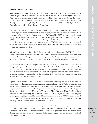#### **Foundations and businesses**

Numerous foundations and businesses are dedicated to improving the state of caregiving in the United States. Amgen, Johnson & Johnson, MetLife, and Pfizer are some of the many corporations in the United States that have taken proactive measures to address caregiving issues. Among the philanthropic foundations that support caregiving research, education, and outreach projects are the Robert Wood Johnson Foundation (RWJF), Atlantic Philanthropies, Johnson & Johnson (J&J), the MetLife Foundation, and the Donald W. Reynolds Foundation.

The RWJF has provided funding for caregiving initiatives, including PHI's Cooperative Home Care Associates project, and interfaith volunteer caregiving programs.<sup>65</sup> Among the many programs it has sponsored, Atlantic Philanthropies, together with RWJF, provided \$15.5 million for the Future of Aging Services' Better Jobs Better Care initiative, a four-year research and demonstration project. BJBC, in partnership with PHI, promotes the development of health care employment by providing technical assistance, training, and consultation to providers. BJBC also organizes national meetings and workshops, and publishes technical manuals, issue briefs, and newsletters relating to direct care workers and the caregiving field.

Atlantic Philanthropies has also funded PHI's capacity building, including support for PHI's Direct Care Alliance. Atlantic Philanthropies has funded the Visiting Nurse Associations of America's *Curricula for Homecare Advances in Management and Practice,* a program that focuses on improving care for older people by strengthening the geriatric capacity of home health care managers and their field nurses.<sup>66</sup>

J&J has created and funded the Caregiver Initiative, the Johnson & Johnson/Rosalynn Carter Institute Caregivers Program, and a national survey about *Attitudes and Beliefs About Caregiving in the U.S.*<sup>67</sup> The MetLife Foundation has supported many caregiving studies and surveys, many by the NAC, through its MetLife Mature Market Institute (MMI). MMI has supported numerous publications on family caregivers, including several relating to the difficulties family members have balancing their time between work and caregiving responsibilities.<sup>68</sup>

A primary interest of the Donald W. Reynolds Foundation is improving the quality of life for older people. One way the foundation advances this goal is through its Aging and Quality of Life program, which offers support for geriatrics training and education initiatives. The first grant awarded under this program established the Donald W. Reynolds Center on Aging and the Donald W. Reynolds Department of Geriatrics at the University of Arkansas for Medical Sciences (UAMS) in Little Rock. UAMS hospital is consistently cited as one of America's best, with its geriatrics clinical care program receiving extremely high marks. The John A. Hartford Foundation selected UAMS as a site for one of its prestigious Hartford Centers of Geriatric Nursing Excellence, which works to advance the cause of preparing academic geriatric nurses across the state and region.<sup>69</sup>

Many other institutions have received funding under the Reynolds Foundation's geriatrics initiative, including Johns Hopkins University, New York's Mount Sinai School of Medicine, the University of Oklahoma, Cornell, Yale, and Boston universities. Donald W. Reynolds has also established an online clearinghouse, POGOe, or Portal of Geriatric Online Education, that provides geriatrics educational materials for clinicians.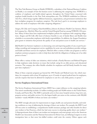The New York Business Group on Health (NYBGH), a subsidiary of the National Business Coalition on Health, is an example of how the business sector is addressing the caregiving issue. NYBGH is a coalition of employers and health-related agencies throughout the United States concerned with employer health benefits in the New York metropolitan area. The NYBGH established an *Eldercare Task Force*, which brings together different businesses, organizations, and government institutions that have workplace programs for employee caregivers. The task force's goal is to encourage employers to address the needs of employees with elder caregiving obligations.<sup>70</sup>

Amgen, Eli Lilly and Company, GlaxoSmithKline, Johnson & Johnson Health Care Systems, Merck & Company, Inc., MetLife, Pfizer Inc, and the United Hospital Fund are among NYBGH's 150 members. Many of these firms have implemented workplace policies for employees with caregiving obligations. Amgen and Eli Lilly offer leave-of-absence benefits in case of family illness and flexible time schedules to accommodate employees with family responsibilities. In addition, the Amgen Foundation gives grants to initiatives that promote the quality of care and patient access to health care services.<sup>71</sup>

J&J Health Care Systems' emphasis is on decreasing costs and improving quality of care, in part by providing consulting and management service capabilities for acute care and ambulatory provider settings, and health and fitness services for employers. MetLife offers a variety of elder care programs as well as employee assistance programs in order to help them deal with the obligations of taking care of an older person at home.72

Pfizer offers a variety of elder care initiatives, which include a Family Resource and Referral Program to help employees make decisions on issues that include caring for an older person, and educational resources. The company also offers flexible schedules for employees and full family benefits for many part-time employees.73

Many of these corporate programs go beyond the 1993 Family and Medical Leave Act, which mandates, for companies with at least 50 employees, up to 12 weeks of *unpaid* medical leave for employees, and also requires that leave be allowed for employees to care for a sick child, parent, or spouse.<sup>74</sup>

#### **Service Employees International Union**

The Service Employees International Union (SEIU) has a major influence on the caregiving industry. The union's membership includes 1.8 million working people and 50,000 retirees in the United States, Canada, and Puerto Rico. The SEIU is primarily active in four areas: hospital systems, long-term care, property services, and public services. It is the largest health care union on the continent, with 900,000 members—nearly 400,000 of whom are home care workers.<sup>75</sup>

The SEIU strongly advocates for improvements in wages, health care and pension benefits, and working conditions as a way of addressing the shortage of direct care workers. For example, the SEIU Local 250 was active in establishing a comprehensive health insurance package and other benefits for direct care workers in San Francisco, which has had some success in attracting quality direct care workers.76 A disproportionate share of direct care workers are immigrants, and some groups, such as the American Health Care Association and the National Association for Home Care, are lobbying Congress to revise immigration laws so that more low-skilled workers could enter the country. Others oppose such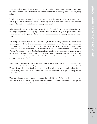measures as obstacles to higher wages and improved benefits necessary to attract more native-born workers.77 The SEIU is a powerful advocate for immigrant workers, including those in the caregiving industry.

In addition to working toward the development of a stable, proficient direct care workforce especially of home care workers—the SEIU works together with consumers, advocates, and others to improve the quality of both in-home and nursing home care.<sup>78</sup>

All agencies and organizations discussed here and listed in Appendix A play a major role in shaping policy and guiding research on caregiving issues in the United States. Many have sponsored and conducted national caregiving surveys that provide important information about caregivers and care recipients.

For example, earlier in 2006 J&J commissioned a general public survey, *Attitudes and Beliefs About Caregiving in the U.S.* Much of the information provided in Sections 2 and 4 of this report comes from the findings of the NAC's national caregiver survey. Last conducted in 2004, in partnership with AARP, this survey was funded by the MetLife Foundation. PHI, in collaboration with the Direct Care Workers Association of North Carolina, has conducted a series of surveys of state Medicaid agencies and state Units on Aging.79 In addition, both the Robert Wood Johnson Foundation and Pfizer have been involved with the National Council on the Aging's recent surveys of employees on health and supportive service providers.<sup>80</sup>

Several federal government agencies, the Centers for Medicare and Medicaid, the Bureau of Labor Statistics, and the Assistant Secretary for Planning and Evaluation at the Department of Health and Human Services have been involved in the design, data collection, analysis, and funding for the National Long-term Care Survey, a longitudinal, nationally representative sample of older people in both institutions and at home.

These organizations share a purpose: to improve the availability of affordable, quality care for those who need it. And, notwithstanding their significant contributions, in the midst of their ongoing work they share an understanding that more work needs to be done.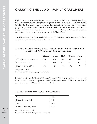# CARRYING THE LOAD—FAMILY CAREGIVERS

Eight in ten adults who receive long-term care at home receive their care exclusively from family, friends, and volunteers, and among those who pay for a caregiver, two-thirds also receive informal (unpaid) help. Even without taking into account the wages and benefits that are sacrificed when people quit their jobs or reduce their hours in order to care for family members, the economic value of this unpaid contribution to American society is in the hundreds of billions of dollars *annually*, amounting to more than twice the amount spent on paid care in the United States.<sup>81</sup>

The NAC estimates that 21 percent of all adults in the United States provide some level of informal caregiving every year to those age 18 or older (Table 4.1).

### **TABLE 4.1. PERCENT OF ADULTS\* WHO PROVIDE UNPAID CARE TO THOSE AGE 18 AND OLDER, U.S. TOTAL AND BY RACE AND ETHNICITY**

|                                 | U.S. total | White | <b>Black</b> | <b>Hispanic</b> | Asian |
|---------------------------------|------------|-------|--------------|-----------------|-------|
| All recipients of informal care | 21\%       | 21\%  | 21%          | 16%             | 18%   |
| Care recipients age 50+         | 16%        | 17%   | 15%          | 12%             | 15%   |
| Care recipients age 18-49       | 5%         | 4%    | 6%           | 4%              | 3%    |

\*People age 18 or older.

Source: National Alliance for Caregiving and AARP 2004.

Excluding recipients under the age of 18, about 75 percent of informal care is provided to people age 50 and over. Most informal caregivers are married or living with a partner (Table 4.2). More than 60 percent are female, and 42 percent are age 50 or older.<sup>82</sup>

#### **TABLE 4.2. MARITAL STATUS OF FAMILY CAREGIVERS**

| Widowed                     | 6%  |
|-----------------------------|-----|
| Divorced or separated       | 14% |
| Single                      | 18% |
| Married/living with partner | 62% |

Base: 1,247 caregivers in the U.S.

Source: National Alliance for Caregiving and AARP (2004).

CAREGIVING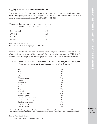### **Juggling act— work and family responsibilities**

The median income of caregiver households is below the national median. For example, in 2003 the median among caregivers was \$37,312, compared to \$43,564 for all households.<sup>83</sup> About one in four caregiver households earned less than \$30,000 in 2003 (Table 4.3).

## **TABLE 4.3. TOTAL ANNUAL HOUSEHOLD INCOME BEFORE TAXES OF FAMILY CAREGIVERS**

| Less than \$30K | 24%  |
|-----------------|------|
| $$30-49K$       | 26%  |
| $$50-99K$       | 2.7% |
| $$100K+$        | 15%  |

Base: 1,247 caregivers in the U.S.

Source: National Alliance for Caregiving and AARP (2004).

Excluding those who care for a spouse, half of all informal caregivers contribute financially to the care of their recipients, an average of \$200 monthly.<sup>84</sup> Six in ten caregivers are employed (Table 4.4). To accommodate their caregiving role, most employed adults are forced to make adjustments at work.

#### **TABLE 4.4. PERCENT OF FAMILY CAREGIVERS WHO ARE EMPLOYED, BY SEX, RACE, AND AGE, AND BY SELECTED CHARACTERISTICS OF CARE RECIPEINTS**

| Total                        | 59% |
|------------------------------|-----|
| Male                         | 66% |
| Female                       | 55% |
| White                        | 61% |
| African American             | 58% |
| Hispanic                     | 53% |
| Asian American               | 52% |
| $18 - 34$                    | 65% |
| $35 - 49$                    | 74% |
| $50 - 64$                    | 58% |
| 65 or older                  | 12% |
| Recipient age 18-49          | 66% |
| Recipient age 50+            | 57% |
| Recipient lives in household | 49% |
| Less than one hour away      | 61% |
| One hour or more away        | 69% |
| Level 1 caregivers           | 63% |
| Level 5 caregivers           | 43% |
|                              |     |

\*Level of burden of caregiving duties, based upon the amount of time per week caregiver takes care of recipient and number and types of activities performed. Level 1 indicates the lowest caregiving intensity, and level 5 indicates the highest.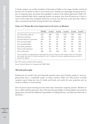A family caregiver can sacrifice hundreds of thousands of dollars in lost wages, benefits, and Social Security over a work life in order to care for loved ones.<sup>85</sup> Perhaps not surprisingly, the greater the burden of caregiving duties, the greater the probability of adverse work-related adjustments (Table 4.5). Among employed adults whose caregiving burdens are greatest, more than 80 percent go in later to work or leave earlier than scheduled; nearly four in ten go from full-time to part-time jobs, which is often a transitional step before leaving the labor force altogether.<sup>86</sup>

#### **TABLE 4.5. WORK-RELATED ADJUSTMENTS BY LEVEL OF BURDEN**

|                                | <b>TOTAL</b> | Level 1 | Level 2 | Level 3 | Level 4 | Level $5^*$ |
|--------------------------------|--------------|---------|---------|---------|---------|-------------|
| Go in late, leave early, etc.  | 57%          | 40\%    | 51%     | 63%     | 75%     | 83%         |
| Take leave of absence          | 17%          | 8%      | 17%     | 14%     | 22%     | 41\%        |
| Go from full-time to part-time | 10%          | 3%      | 7%      | 9%      | 15%     | 37%         |
| Give up work entirely          | 6%           | $1\%$   | 3%      | 4%      | $4\%$   | 35%         |
| Lose any job benefits          | 5%           | 2%      | 2%      | 5%      | 9%      | 1.5%        |
| Turn down promotion            | $4\%$        | 2%      | 3%      | 5%      | 6%      | 14%         |
| Choose early retirement        | 3%           | $1\%$   | $1\%$   | 2%      | 3%      | 12%         |
| None of the above              | 38%          | 57%     | 44%     | 31%     | 21%     | 8%          |

\*Level of burden of caregiving duties, based upon the amount of time per week caregiver takes care of recipient and number and types of activities performed. Level 1 indicates the lowest caregiving intensity, and level 5 indicates the highest.

Base: 935 caregivers employed while caregiving.

Source: National Alliance for Caregiving and AARP (2004).

### **All work and no play**

Finding time for oneself is the most frequently reported unmet need of family caregivers,<sup>87</sup> and caregiving duties have a considerable impact on leisure activities (Table 4.6). Fifty percent of family caregivers report having less time for family and friends, and nearly the same proportion give up vacations, hobbies, or social activities.

Over 25 percent report exercising less than before they started their caregiving activities. Members of the so-called sandwich generation, those with the dual responsibility of rearing children and caring for aging parents, and with the additional responsibility of working full-time, very likely have little time to themselves.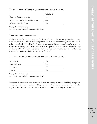## **Table 4.6. Impact of Caregiving on Family and Leisure Activities**

|                                               | % Saying Yes |
|-----------------------------------------------|--------------|
| Less time for friends or family               | 51%          |
| Give up vacations, hobbies, social activities | 44%          |
| Get less exercise than before                 | 26%          |

Base: 1,247 caregivers in the U.S.

Source: National Alliance for Caregiving and AARP (2004).

### **Emotional stress and health risks**

Family caregivers face significant physical and mental health risks, including depression, anxiety, insomnia, increased chances of developing chronic illnesses, and slower healing of wounds.<sup>88</sup> Caregiving is associated with high levels of emotional stress, especially among caregivers who report they had no choice but to provide care, and among those who provide the most hours of care and who help with several ADLs.<sup>89</sup> On average, family caregivers provide care for more than four years,<sup>90</sup> and of these about a third provide care for five years or longer (Table 4.7).

### **TABLE 4.7. ESTIMATED LENGTH OF CARE PROVIDED TO RECIPIENTS**

| Occasionally     | 5%  |
|------------------|-----|
| Less than 1 year | 34% |
| $1-4$ years      | 31% |
| 5+ years         | 29% |

Base: 1,247 caregivers in the U.S.

Source: National Alliance for Caregiving and AARP (2004).

Nearly four in ten informal caregivers report that no other family member or friend helped to provide that care, and six in ten say that no paid help was obtained.<sup>91</sup> The shortage of direct care workers has only worsened the financial, social, emotional, and health burdens carried by family caregivers.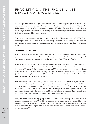## FRAGILITY ON THE FRONT LINES— DIRECT C ARE WORKERS

As our population continues to grow older and the pool of family caregivers grows smaller, who will care for us? In their seminal study of the shortage of direct care workers in the United States, Drs. Robyn Stone and Joshua Wiener ask just that question.<sup>92</sup> If nothing further is done to resolve the critical shortage of direct care workers in this country, then, unfortunately, our answer will be the same as it already is for many older people—no one.

There are a number of factors affecting the supply and quality of direct care workers (DCWs). First, a demographic profile of DCWs is provided, followed by a description of the variety of paraprofessionals—nursing assistants, home care aides, personal care workers, and others—and their work environment.

### **Women on the front lines**

About 90 percent of both nursing home aides and home care aides are women, which is an even higher percent of paid paraprofessionals than of family caregivers (Table 5.1). Hospital aides, who provide some caregiver services but who work in hospital settings, are about 80 percent female.

About 70 percent of DCWs are white, which is considerably lower than the national rate (82 percent). The proportion of DCWs who are black (25 percent) is nearly twice that of the national population (13 percent).93,94 Although the proportion who are not U.S. citizens is about the same as is true for the whole population (7 percent in 2000<sup>95</sup>) among nursing home aides and hospital aides, it is much higher (16.2 percent) among home care aides (Table 5.1). However, these statistics exclude undocumented workers, who are likely to work off the books.

Educational attainment is considerably lower among DCWs than of the whole U.S. population. About a quarter of the U.S. population has completed at least four years of college,<sup>96</sup> compared to only 4.2 percent of nursing home aides and 6.5 percent of home care aides (Table 5.1). The percent of nursing home aides (22.6) and home care aides (31.5) who have not graduated from high school is considerably higher than the national average of about 16 percent.<sup>97</sup> However, high school graduation is actually more prevalent among hospital aides than among the entire population.

Many direct care workers are employed part-time, and some of them probably take other jobs to supplement their caregiving work.98 Only 55 percent of nursing home aides and 46 percent of home care aides work full-time all year round.<sup>99</sup> Another 16 percent of nursing home aides and 12 percent of home care aides work full-time for part of the year, and the remainder work only part-time, either year round or part of the year.<sup>100</sup>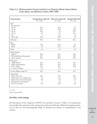| Characteristics                                                       | Nursing Home Aides (%) Home Care Aides (%)<br>$N = 1,254$ | $N = 216$ | Hospital Aides (%)<br>$N = 761$ |
|-----------------------------------------------------------------------|-----------------------------------------------------------|-----------|---------------------------------|
|                                                                       |                                                           |           |                                 |
| Age*                                                                  |                                                           |           |                                 |
| Less than 25                                                          |                                                           |           |                                 |
| $25 - 34$                                                             | 23.4                                                      | 10.2      | 16                              |
| $35 - 44$                                                             | 24.9                                                      | 20.4      | 26.3                            |
| $45 - 54$                                                             | 24.6                                                      | 25        | 27.6                            |
| $55 - 64$                                                             | 9.3                                                       | 9.3       | 11.2                            |
| $65+$                                                                 | $\overline{2}$                                            | 8.3       | 1.4                             |
| Mean age*                                                             | 36.4                                                      | 42.8      | 38                              |
| % Female                                                              | 90.1                                                      | 88.4      | 81.1                            |
| Race                                                                  |                                                           |           |                                 |
| White                                                                 | 70.6                                                      | 70.4      | 69                              |
| <b>Black</b>                                                          | 25                                                        | 25.9      | 26.1                            |
| Other                                                                 | 4.4                                                       | 3.7       | 4.9                             |
| Marital Status*                                                       |                                                           |           |                                 |
| Married                                                               | 42.8                                                      | 42.1      | 48.9                            |
| Widowed/divorced/separated                                            | 21.9                                                      | 29.2      | 20.9                            |
| Never married                                                         | 35.3                                                      | 28.7      | 30.2                            |
| Education*                                                            |                                                           |           |                                 |
| <high school<="" td=""><td>22.6</td><td>31.5</td><td>10.2</td></high> | 22.6                                                      | 31.5      | 10.2                            |
| High school graduate                                                  | 49.9                                                      | 39.4      | 42.3                            |
| Some college                                                          | 23.3                                                      | 22.7      | 40.5                            |
| 4+ years of college                                                   | 4.2                                                       | 6.5       | $\overline{7}$                  |
| % with children under 18*                                             | 52.2                                                      | 40.3      | 45.7                            |
| Citizenship*                                                          |                                                           |           |                                 |
| Native-born U.S.                                                      | 85.4                                                      | 74.5      | 85.3                            |
| Native-born U.S. outlying area                                        | 1.6                                                       | 2.8       | 0.9                             |
| Native-born abroad U.S. parent                                        | 0.8                                                       | 0.9       | 1.3                             |
| Foreign born (naturalized)                                            | $\overline{4}$                                            | 5.6       | 6                               |
| Not a U.S. citizen                                                    | 8.2                                                       | 16.2      | 6.4                             |
|                                                                       |                                                           |           |                                 |

## **TABLE 5.1. DEMOGRAPHIC CHARACTERISTICS OF NURSING HOME AIDES, HOME CARE AIDES, AND HOSPITAL AIDES, 1997–1999**

 $*_{p}$  < 0.01

Source: Yamada 2002.

## **Job titles, work settings**

Job descriptions of four categories of DCWs were provided in Section 1 (Table 1.1): nursing aides, home health aides, psychiatric aides, and personal and home health aides. Within the caregiving industry job titles are used interchangeably. Table 5.2 illustrates the absence of standardization in the industry.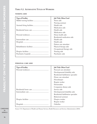## **TABLE 5.2. ALTERNATIVE TITLES OF WORKERS**

#### **NURSING AIDE**

| <b>Type of Facility</b> | <b>Job Title Often Used</b> |
|-------------------------|-----------------------------|
|                         | Nurse aide                  |
|                         | Nursing assistant           |
|                         | Health aide                 |
|                         | Medication aide             |
|                         | Health aide                 |
|                         | Medication aide             |
|                         | Home health aide            |
|                         | Residential medication aide |
|                         | Health aide                 |
|                         | Health aide                 |
|                         | Patient care attendant      |
|                         | Physical therapy aide       |
|                         | Occupational therapy aide   |
|                         | Nursing aide                |
|                         | Psychiatric aide            |

#### **PERSONAL CARE AIDE**

| <b>Type of Facility</b> | <b>Job Title Often Used</b>         |
|-------------------------|-------------------------------------|
|                         | Personal care attendant             |
|                         | Developmental disability aide       |
|                         | Residential habilitation specialist |
|                         | Home care attendant                 |
|                         | Housekeeper                         |
|                         | Respite worker                      |
|                         | Homemaker                           |
|                         | Companion dietary aide              |
|                         | Service aide                        |
|                         | Developmental disability aide       |
|                         | Residential habilitation specialist |
|                         | Behavioral assistant                |
|                         | Hospice worker                      |
|                         | Respite worker                      |
|                         | Orderlies                           |

CAREGIVING IN

Source: U.S. Department of Health and Human Services, Health Resources and Services Administration (2004).

AMERICA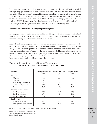Job titles sometimes depend on the setting of care, for example, whether the position is in a skilled nursing facility, group residence, or personal home. But Table 5.2 is only one table of titles from one source (the U.S. Department of Health and Human Services). There is no universally accepted job title for a particular position, and one cannot definitively know from the job title applied to a DCW whether the person works in a home or institutional setting. For example, the Bureau of Labor Statistics' O\*NET database, which lists the characteristics of all jobs in the United States, lists "certified nursing assistant" as a job title for both home health aides and for nursing aides.

### **Help wanted—the critical shortage of paid caregivers**

Low wages, few fringe benefits, unpleasant working conditions, low job satisfaction, the emotional and physical burdens of the job, and the lack of a real possibility for career development all contribute to the critical shortage of paid caregivers in the United States.<sup>101</sup>

Although work surroundings vary among both home-based and institutionally based direct care workers, in general, unpleasant working conditions and work tasks contribute to the high turnover rates among DCWs. Caregivers spend much of their time standing or walking. Hazards from minor infections and major diseases are often part of the job, as are the physical burdens of lifting and moving clients, and unpleasant duties such as emptying bedpans and changing linens. Clients may be irritable, abusive, depressed, angry, or otherwise difficult, although many are cooperative and pleasant. Homebased caregivers may work in residences that are dirty or messy.102

| <b>Benefits</b>                  | <b>Nursing Home Aides</b> | <b>Home Care Aides</b> | <b>Hospital Aides</b> |  |
|----------------------------------|---------------------------|------------------------|-----------------------|--|
|                                  | (%)                       | (%)                    | (%)                   |  |
| Health insurance                 |                           |                        |                       |  |
| Medicare*                        | 2.4                       | 8.3                    | 1.2                   |  |
| Medicaid*                        | 11.3                      | 15.7                   | 4.7                   |  |
| VA/Military/CHAMPUS              | 3                         | 1.9                    | 2.8                   |  |
| Current employer/union*          | 41.8                      | 25.5                   | 62.3                  |  |
| None                             | N/A                       | N/A                    | N/A                   |  |
| Health insurance premium**       |                           |                        |                       |  |
| Employer pays all                | 23.9                      | 30.9                   | 21.3                  |  |
| Employer pays part               | 67.4                      | 60                     | 74.1                  |  |
| Employer pays none               | 8.8                       | 9.1                    | 4.6                   |  |
| Pension plan                     |                           |                        |                       |  |
| Provided by employer*            | 43.5                      | 24.1                   | 71.5                  |  |
| Participate in plan if provided* | 53.8                      | 65.4                   | 66.9                  |  |

## **TABLE 5.3. FRINGE BENEFITS OF NURSING HOME AIDES, HOME CARE AIDES, AND HOSPITAL AIDES, 1997–1999**

Notes: CHAMPUS = Civilian Health and Medical Program Uniformed Service.

Source: Yamada (2002)

<sup>\*</sup>Percentages are statistically significant at 1%.

<sup>\*\*</sup>Percentages are statistically significant at 5%.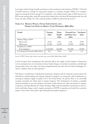Low wages and few fringe benefits are barriers to the recruitment and retention of DCWs.<sup>103</sup> The lack of health insurance coverage for many paid caregivers is a primary example (Tables 5.3). Caregiver wages are among the lowest among U.S. occupations—the median hourly wage in 2004 was just over \$10 among nursing aides, under \$9 among home health aides, and about \$8 among personal care and home care aides (Table 5.4). (The national median in 2004 was about \$14 per hour).<sup>104</sup>

| <b>Trends</b>                     | <b>Nursing</b><br><b>Aides</b> | Home<br>Health<br><b>Aides</b> | <b>Personal Care</b><br>and Home Care<br><b>Aides</b> | Psychiatric<br><b>Aides</b> |
|-----------------------------------|--------------------------------|--------------------------------|-------------------------------------------------------|-----------------------------|
| Median Wages (2004)               |                                |                                |                                                       |                             |
| \$\$ per hour                     | 10.20                          | 8.92                           | 8.18                                                  | 10.99                       |
| \$\$ per year                     | 21,220                         | 18,550                         | 17,020                                                | 22,860                      |
| Employment (2004)                 |                                |                                |                                                       |                             |
| # of employees                    | 1,455,000                      | 624,000                        | 701,000                                               | 59,000                      |
| % of Projected Growth (2004-2014) | 22.3                           | 56.0                           | 41.0                                                  | 2.3                         |

### **TABLE 5.4. MEDIAN WAGES, TOTAL EMPLOYMENT, AND PROJECTED NEED OF DIRECT CARE WORKERS, 2004–2014**

Source: O\*NET Online, http://online.onetcenter.org, accessed May 2006; Hecker (2005).

A lack of respect from management also adversely affects the supply of paid caregivers. Supervision even in nursing homes, not to mention in home-based settings, is sometimes nonexistent, and although nursing aides, home-care aides, and other paraprofessionals may have the best direct knowledge of a client's condition, they are often ignored.105

The absence of uniformity of standards for paid home caregivers and of a national consensus about the information, understanding, and training required of caregivers are among the other impediments to ensuring an adequate supply of quality care in the United States. At present, there is no universally accepted curriculum for either paid or unpaid caregivers. The development of uniform, acceptable national standards of care and caregiver curriculum would enhance the value and reward of caregiver occupations and help alleviate the worker shortage. High national standards of performance and curricula could help change society's negative perception of DCW occupations and would have a positive impact on the value society places upon both paid and unpaid caregivers.<sup>106</sup>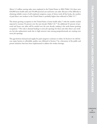About 1.5 million nursing aides were employed in the United States in 2004 (Table 5.4); there were 624,000 home health aides and 701,000 personal care and home care aides. Because of the difficulty in obtaining reliable counts of self-employed caregivers, many of whom work off the books, the number of paid direct care workers in the United States is probably higher than reflected in Table 5.3.107

The fastest growing occupation in the United States is home health aides,<sup>108</sup> with the number needed expected to increase 56 percent over the next decade (Table 5.4).<sup>109</sup> An additional 41 percent of personal and home care aides will be needed over the next decade, making it the tenth fastest growing occupation.110 Not only is demand leading to more job openings for these and other direct care workers, but also replacement needs due to high turnover rates among paraprofessionals are creating even more job openings.

The gap between demand and supply for paid caregivers continues to widen. In Section 6 we will discuss major barriers to affordable, quality care, followed in Section 7 by a discussion of the public and private initiatives that have been implemented to address the worker shortage.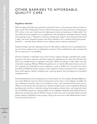## OTHER BARRIERS TO AFFORDABLE, QUALITY CARE

#### **Regulatory obstacles**

With the aging of the baby boom generation, demand for home- and community-based care will continue to grow. The Visiting Nurse Service of New York argues that "[t]he intersection of housing and LTC services is the next critical arena for addressing the needs and preferences of older adults," but that federal and state regulations are an impediment to the development of linkages between housing and caregiving services.<sup>111</sup> Regulatory restrictions prohibit paid caregivers "from doing what they think is right," and create "disparities between what they're allowed to do as certified and licensed paraprofessionals . . . and what they're allowed to do as ordinary citizens, relatives, and friends."112

Families wishing to provide caregiving at home for older adults are allowed to do so, including the hiring of in-home caregivers who are independent contractors. These individuals are often untrained and have no supervision or accountability.

However, if families or individuals want to hire in-home caregivers through a reputable home caregiving agency that trains, supervises, and helps manage the caregiving process, they often find that such help is not available because of regulatory restrictions. While the majority of older adults need only nonmedical caregiving, Medicare/Medicaid regulations do not clearly differentiate between nonmedical "caregiving" and medically necessary caregiving as a part of "health care." In practice, this means that Medicare/Medicaid and the majority of state regulations restrict any paid in-home caregiving to home *health* agencies, thereby excluding home *caregiving* agencies from providing even nonmedical caregiving services.

Several federal policies favor nursing homes over home-based care. For example, although eligible persons under Medicaid cannot be denied nursing home services due to state budgetary shortfalls, the same entitlement protection status is not extended to home- and community-based waiver services. (Waivers are discussed in the next subsection.) Another example is that in order to qualify for Medicaid spending, states must have a statewide nursing home program, whereas home- and community-based services (HCBS) programs are optional. Higher income eligibility thresholds under Medicaid also are allowed for nursing home than for HCBS coverage in many states, and several other federal and state policies relating to eligibility for and coverage of long-term care services under Medicaid favor institutional over home-based care.<sup>113</sup>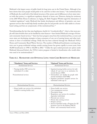Medicaid is the largest source of public funds for long-term care in the United States. Although it has been shown that most people would prefer to be cared for in their own homes,<sup>114</sup> the institutional bias of Medicaid, the result both of the federal structure of the system and of differences in how states interact with that system, is a significant regulatory obstacle to home care. However, during her testimony at the 2005 White House Conference on Aging, Dr. Beth Vaughan-Wrobel urged the elimination of "outdated regulations" under Medicaid that hinder development and delivery of geriatrics care management services that would help family members plan for and provide care for older adults in a homebased setting and that are symptomatic of this institutional bias.115

Notwithstanding the fact that state legislatures, fearful of a "woodwork effect"—that is, that more people will claim benefits that can be handled by state finances—have limited Medicaid coverage of homeand community-based services,<sup>116</sup> there has been progress away from this institutional bias, as more and more states are developing strategies to keep consumers of care out of nursing homes and other institutions in favor of residential settings. Partly this has been achieved through the Medicaid 1915(c) Home and Community-Based Waiver Services. The number of Medicaid beneficiaries receiving longterm care in group residential settings outside nursing homes has grown rapidly in recent years, from 40,000 beneficiaries in 1998 to 102,000 in 2002.117 Unlike the open-ended personal care option under Medicaid (discussed below), the 1915(c) waiver program is limited to beneficiaries who would otherwise need to be institutionalized.<sup>118</sup>

| "Mandatory" Items and Services                                                               | "Optional" Items and Services                                                                                                                                                                                                                                                                                                                                                   |
|----------------------------------------------------------------------------------------------|---------------------------------------------------------------------------------------------------------------------------------------------------------------------------------------------------------------------------------------------------------------------------------------------------------------------------------------------------------------------------------|
| <b>Institutional Services</b>                                                                | <b>Institutional Services</b>                                                                                                                                                                                                                                                                                                                                                   |
| • Nursing facility (NF) services for<br>individuals 21 or older<br>Noninstitutional services | • Inpatient/nursing facility services for indi-<br>viduals 65 and over in an institution for<br>mental diseases (MD)<br>• Intermediate care facility for people with<br>mental retardation (ICF/MR)<br>• Inpatient psychiatric hospital services for<br>individuals under age 21                                                                                                |
| Noninstitutional Services                                                                    | Noninstitutional Services                                                                                                                                                                                                                                                                                                                                                       |
| • Home health care services (for individuals<br>entitled to nursing facility care)           | • Home health care services<br>• Case management services<br>• Prescription drugs<br>• Respiratory care services for ventilator-<br>dependent individuals<br>• Personal care services<br>• Private duty nursing services<br>• Hospice services<br>• Services furnished under a Program for All<br>Inclusive Care for the Elderly (PACE)<br>• Home- and community-based services |

#### **TABLE 6.1. MANDATORY AND OPTIONAL LONG-TERM CARE BENEFITS OF MEDICAID**

Source: O'Brien and Elias (2004).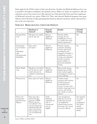States apply for the 1915(c) waiver at their own discretion. Another way Medicaid influences how care is provided is through its mandatory and optional services (Table 6.1). States are required to offer the mandatory services, but many do not offer optional care. Only about half of the states have implemented Medicaid's personal care option (Table 6.2). Thus, state-directed Medicaid programs have great influence about the kinds of tasks paid paraprofessionals are allowed to perform, which is discussed further in the next subsection.

|                                                                                                | Mandatory or<br>Optional?                                                                                                                                                                                                              | Financial<br>Eligibility                                                                    | <b>Benefits</b>                                                                                                                                                                                                                                               | Statewide<br>Coverage                                                                                      |
|------------------------------------------------------------------------------------------------|----------------------------------------------------------------------------------------------------------------------------------------------------------------------------------------------------------------------------------------|---------------------------------------------------------------------------------------------|---------------------------------------------------------------------------------------------------------------------------------------------------------------------------------------------------------------------------------------------------------------|------------------------------------------------------------------------------------------------------------|
| Nursing Home<br>Care                                                                           | Mandatory for individ-<br>uals 21 and over                                                                                                                                                                                             | Must be<br>eligible for<br>Medicaid.                                                        | Provides skilled<br>nursing care and<br>rehabilitation services<br>in a facility that meets<br>federal requirements.                                                                                                                                          | Yes                                                                                                        |
| Intermediate<br>Care Facilities<br>for<br>Individuals<br>with<br>Developmental<br>Disabilities | State option<br>$(50 \text{ states})$                                                                                                                                                                                                  | Must be<br>eligible for<br>Medicaid.                                                        | Provides ongoing<br>evaluation, planning,<br>24-hour supervision,<br>coordination, and<br>integration of health or<br>rehabilitative services<br>to help each individual<br>function at his/her<br>greatest ability in a<br>protected residential<br>setting. | Yes                                                                                                        |
| Home Health<br>Care                                                                            | Mandatory for individ-<br>uals 21 and over who<br>would otherwise be<br>entitled to institutional<br>care                                                                                                                              | Must be<br>eligible for<br>Medicaid.                                                        | May provide nursing<br>therapy, home health<br>aides, medical supplies,<br>and equipment. Limits on<br>services allowed.                                                                                                                                      | Yes                                                                                                        |
| Personal Care                                                                                  | State option (27 states)                                                                                                                                                                                                               | Must be<br>eligible for<br>Medicaid.                                                        | Usually includes<br>assistance with activities<br>of daily living and<br>homemaker/chore<br>services. In some states<br>includes cuing/supervisory<br>services, and nursing<br>care. Limits on services<br>allowed.                                           | Yes                                                                                                        |
| Home-and<br>Community-<br><b>Based Services</b><br>Waivers                                     | State may seek a<br>waiver from the<br>secretary of HHS.<br>Waivers must be<br>"cost effective": the<br>cost of caring for an<br>individual under the<br>waiver must be less<br>than or equal to the<br>cost of institutional<br>care. | Under<br>Medicaid,<br>individuals "at<br>risk" of<br>institutional<br>care are<br>eligible. | Case management,<br>adult day care, home<br>health aide, personal<br>care habilitation,<br>assisted-living services,<br>and respite care. Limits<br>on services allowed.                                                                                      | Not required.<br>Can target<br>certain<br>geographical<br>area and/or<br>specific<br>population<br>groups. |

## **TABLE 6.2. MEDICAID LONG-TERM CARE SERVICES**

CAREGIVING IN AMERICA

**OTHER BARRIERS TO AFFORDABLE, QUALITY CARE**

OTHER BARRIERS TO AFFORDABLE, QUALITY CARE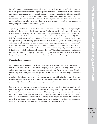State efforts to move away from institutional care and to strengthen components of their communitybased care systems were given further impetus by the 1999 Supreme Court *Olmstead* decision. Provided that the care recipient does not oppose such placement, states are required under *Olmstead* to provide community-based services for persons with disabilities otherwise entitled to institutional care.<sup>119</sup> Budgetary constraints in some states have had a dampening effect, but legislation passed in response to *Olmstead* by several other states has helped bolster their community-based care systems, such as through improved information and referral systems.120

A promising area both for enabling older people to live more independently and for improving the quality of in-home care is the development and funding of assistive technologies. For example, Carnegie Mellon University and the University of Pittsburgh were recently awarded a five-year, \$15 million grant by the National Science Foundation to develop assistive technologies at the Quality of Life Technology Engineering Research Center. Devices to keep track of health status and activity levels of people living alone, mobility systems, improved wheelchairs, and systems that prolong the age at which older people may safely drive are among the many technologies being developed at the Center.<sup>121</sup> Rapid progress is being made by scientists throughout the world in the development of artificial intelligence and robotics—automobiles that drive themselves, robotic lifeguards, robots that assemble IKEA furniture—which are increasingly changing daily life.122 Lynn Friss Feinberg, deputy director of the National Center on Caregiving at the Family Caregiving Alliance notes, advances in technology "are providing tools to help family caregivers that simply did not exist a decade ago."123

#### **Financing long-term care**

Economist Peter Arno estimated that the national economic value of informal caregiving was \$257 billion in 2000<sup>124</sup>. This estimate is based on an hourly wage of \$8.81, which is midway between the prevailing minimum wage (\$5.15) and the average, national wage for home health aides (\$12.46). Opportunity costs to caregivers, such as wages and benefits that are forgone when people are forced to leave the labor force to care for their family members, are not considered in Arno's estimate. The annual contribution by informal caregivers is more than twice the amount paid nationally for home health and nursing home care, which totaled \$126 billion in 2000 (\$31 billion of which went to home health care services and \$95 billion of which went to nursing home care).<sup>125</sup>

Few Americans have private long-term care insurance—in 2001, only about 4 million people had private insurance plans that covered long-term care services<sup>126</sup>. Despite the strong preference by consumers for home and community-based services, most public financing for long-term care is limited to nursing home services. Of the total Medicaid long-term care spending, only about one-third goes toward home and community-based services.<sup>127</sup> It has been argued that the problem is not that too few dollars go to LTC, but that too much is spent "in the wrong ways," and that "[t]he home and communitybased services infrastructure is grossly underdeveloped and starved for revenue."<sup>128</sup>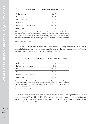## **TABLE 6.3. LONG-TERM CARE: NATIONAL SPENDING,** 2004**.\***

| Other private              | 3.3 %  |
|----------------------------|--------|
| Private health insurance   | 9.0 %  |
| Out-of-pocket              | 23.3 % |
| Medicare                   | 20.5 % |
| Federal and state Medicaid | 40.9 % |
| Other public               | 3.1 %  |

\*Freestanding facilities only. Additional services are provided in hospital-based facilities but are not included here. Medical care provided in the home by private and public nonfacility-based home health agencies. Medical equipment sales or rentals not billed through home health agencies and nonmedical types of home care (e.g., Meals on Wheels, chore-worker services, friendly visits, or other custodial services) are excluded.

Source: Smith et al. (2006).

The percents of national long-term care expenditures that are paid for by Medicaid, Medicare, out-ofpocket by individuals, and otherwise are presented in Table 6.3. Table 6.4 presents percents of national spending on home health care; Table 6.5, on nursing home care.

| Other private              | 2.3%    |
|----------------------------|---------|
| Private health insurance   | 12 %    |
| Out-of-pocket              | 11.3 %  |
| Medicare                   | 38.0%   |
| Federal and state Medicaid | 31.7 %  |
| Other public               | $4.6\%$ |

### **TABLE 6.4. HOME HEALTH CARE: NATIONAL SPENDING,** 2004**.\***

\*Medical care provided in the home by private and public nonfacility-based home health agencies. Medical equipment sales or rentals not billed through home health agencies and nonmedical types of home care (e.g., Meals on Wheels, chore-worker services, friendly visits, or other custodial services) are excluded.

Source: Smith et al. (2006).

These tables must be interpreted with caution for several reasons. First, expenditures on *custodial care*—assistance with activities of daily living such as dressing and bathing—are excluded from the totals. This is an important exclusion to bear in mind, since most long-term care is for custodial care, as opposed to *skilled care*. <sup>129</sup> Medicare does not even reimburse for custodial care.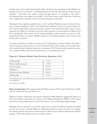Another reason to be careful interpreting the tables is that the services reimbursed under Medicare are generally short-term in duration—notwithstanding the fact that they fall under the "long-term care" umbrella.<sup>130</sup> And lastly, only people working through agencies are included in the tables self-employed direct care workers are excluded. For all these reasons, public financing of long-term care is exaggerated in the tables, and out-of-pocket financing is understated.

Allowing for these significant qualifications, it can be said that Medicaid accounts for about 41 percent of national spending on LTC in the United States, Medicare for about 21 percent (Table 6.3). Out-of-pocket expenditures represent more than a quarter of the total amount that is spent on nursing home care (Table 6.5), and about 11 percent of the total spent on home health care (Table 6.4). It bears repeating that these statistics do not include spending on either personal care services or selfemployed paid direct care workers. Reliable numbers on self-employed workers, many of whom work off the books, are elusive.<sup>131</sup>

To veterans enrolled in its health care system, the U.S. Department of Veterans Affairs (VA) offers a variety of geriatric and long-term care services. Nearly all of the VA's medical centers provide homeand community-based outpatient long-term care programs. The VA also provides inpatient long-term care to nearly 65,000 veterans, but its primary focus is on providing home care.132

| Other private              | 3.7 %   |
|----------------------------|---------|
| Private health insurance   | 7.8 %   |
| Out-of-pocket              | 27.7 %  |
| Medicare                   | 13.9 %  |
| Federal and state Medicaid | 44.4 %  |
| Other public               | $2.5\%$ |

**TABLE 6.5. NURSING HOME CARE: NATIONAL SPENDING,** 2004**\*** 

\*Freestanding facilities only. Additional services are provided in hospital-based facilities but are not included here.

Source: Smith et al. (2006).

**Home care financing:** Of the approximately \$139 billion spent on LTC in the United States in 2002, only one-fourth went for home-based care.<sup>133</sup>

Medicare includes a small home care program. During the 1980s, Medicare expanded the delivery of both home health and personal care services, but the Balanced Budget Act (BBA) of 1997 created incentives for home health agencies to limit the volume of care, and spending dropped sharply.<sup>134</sup>

Although states are required to cover home *health* services under the Medicaid program, providing *personal* care at home is optional (Table 6.2). Medicaid provides two options for home care coverage, the optional "personal care services" benefit and the (c) Home and Community-Based Services Waiver program. All 50 states provide at least one of these options.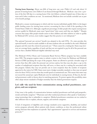**Nursing home financing:** About one-fifth of long-term care costs (Table 6.3) and only about 14 percent of nursing home costs (Table 6.5) are financed through Medicare. Medicare may cover a portion of the first 100 days in a nursing home if the visit follows a related hospital stay of three days or more and if other conditions are met. As mentioned, Medicare does not include custodial care as part of its benefit package.

Medicaid is a means-tested program to which only low-income individuals qualify. Still, it is the largest public funding source for nursing home services, accounting for close to half of the spending in the United States (Table 6.5). Although a significant percentage of older people who require nursing home services qualify for Medicaid, many must "spend down" their assets until they are eligible.<sup>135</sup> Despite concerns that many older people transfer assets to their children and other relatives in order to qualify for Medicaid LTC services, most studies suggest that this practice is not widespread.<sup>136</sup>

The optional "personal care services" benefit was adopted in the mid-1970s. If a state provides this optional benefit, it must be made available to all state residents who are enrolled in the state's Medicaid program and who meet the criteria for personal care.137 There cannot be a waiting list. States may, however, set coverage limits, regardless of need, and they are not required to pay for all of the personal care services that a disabled Medicaid-eligible individual may need.

The Medicaid 1915(c) Home and Community-Based Services Waiver program has been available since 1981. The program requires states to submit a waiver to the Center for Medicare and Medicaid Services (CMS) specifying the scope of the program. States are allowed to provide a broader range of services than they offer under the personal care services option, but they may also place a cap on the number of unduplicated recipients that they will serve, so there may be a waiting list associated with this program. Indeed, they may not provide care to more recipients than the number of recipients approved in the waiver by CMS. States must meet a budget neutrality standard, so they may not spend more for these 1915(c) services than they would spend on institutional care. This means that states may not exceed the annual per capita Medicaid costs for individuals in nursing homes. If they do, the federal government could, in theory, deny its matching payments. To protect against this possibility, states often adopt stricter standards of budget neutrality than the federal government requires.

### **Let's talk—the need for better communication among medical practitioners, caregivers, and care recipients**

A key issue is the quality of communication between medical practitioners and both paid paraprofessionals and family caregivers.<sup>138</sup> Physicians and other medical practitioners often speak in "medicalese," using terminology that is unfamiliar to caregivers. Medical practitioners sometimes are too rushed to take sufficient time to explain, educate, support, and motivate caregivers.

A lack of integration of eligibility and coverage standards across supportive, disability, and medical service programs adversely affects patients with chronic conditions, as does the professional culture among clinicians that emphasizes an episodic "day's appointments" approach to services and treatment protocols.139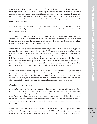Physicians receive little or no training in the area of home- and community-based care.<sup>140</sup> Commonly, medical practitioners possess a poor understanding of their patients' home environment or of their patients' physical and cognitive capabilities. Medical practitioners often have little knowledge regarding the entire caregiving spectrum—how to access care, the different levels of caregivers, their proficiencies and skills, and so on—yet are expected to write orders and/or sign off on specific issues directly related to such caregiving.

For their part, caregivers sometimes expect medical practitioners to prescribe help or care step-by-step, with an expectation of patient improvement. Some want forms filled out on the spot or call frequently for unnecessary reasons.

A communications problem, often stemming from differences in expectations, also exists between paid caregivers and care recipients and their families. Sometimes what a family expects of a paid caregiver is quite different from what the paid caregiver believes her role to be. This disconnect is sometimes laced with racial, class, cultural, and language undertones.

For example, the family may not understand why a caregiver will not clean dishes, vacuum, prepare food, do shopping—"not a big deal," thinks the family. There are differences in expectations between paid caregivers and the recipients' families about other aspects of care. For example, should a caregiver lift a patient who cannot bear her own weight, or transfer a heavy patient between a wheelchair and bed? Another example is whether the caregiver should take a patient outside every day for fresh air, rather than sitting inside watching television or talking on the phone and taking care of her own (caregiver) personal tasks. There is often a disconnect between family members and paid caregivers about the extent to which the caregiver should try to stimulate and actively engage the patient.

Families often assume that paid caregivers are fairly well paid and are unaware that a large share of their payments goes to the agency. And there is very often the expectation that the caregiver will make the patient "better." For their part (as discussed in Section 5), although many paid caregivers are highly motivated and effective, others may be poorly motivated, or even apathetic about their patients, because of low wages, little chance for career development, and other negative aspects of their jobs.

#### **Caregiving delivery system**

Anyone who has ever confronted the urgent need to find caregiving for an older adult knows how frustrating it can be. The learning curve is steep, there is no easy access point, and the process is fractured into many unconnected components. As essential as it is that we create more and better caregivers for older adults, it is equally necessary to make those caregiving resources easily available to those who need the services. There are important implications concerning the lack of a functional delivery system—a coordinated process for getting caregiving information and services to those who need them when they need them.

Locally based models are needed to facilitate the connection of the supply of caregiving information and services with the growing demand for them. The AoA's Eldercare Locator (discussed in Section 3) helps people obtain contact information for caregiving and other service providers in their areas, but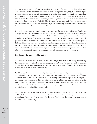does not provide a network of actual personalized services and information for people at a local level. The Eldercare Locator program refers people to local Area Agencies on Aging (AAAs) or other government-related agencies. There is a great deal of variability from location to location in terms of the information and services available from AAAs—often they have lists of local agencies that accept Medicaid and other forms of public assistance, but not of agencies that would be more appropriate for people who do not qualify for Medicaid. The Eldercare Locator program is therefore biased toward the Medicare/Medicaid model and toward older people who qualify for those benefits. People who have to pay out-of-pocket for care often find they are on their own.

One locally based model of a caregiving delivery system, one that would serve private-pay families and older people who have heretofore had no real unified process to follow, is the Elderstay@home program developed by the SCSHE (Figure 1). Elderstay@home ties together all information, referral, consultation, medical, and caregiving services into a network that a family can access with a single phone call, and is sponsored by community and faith-based groups. While the primary goal of Elderstay@home is to serve private-pay families and older people, it accepts all calls and so also serves the Medicaid-eligible population. Further development of locally based caregiving delivery systems such as Elderstay@home's model would improve access to care for many older people, especially those who pay for care out-of-pocket—or who cannot find affordable care and so go without it.

#### **Elephant in the room—public policy**

As discussed, Medicare and Medicaid rules have a major influence on the caregiving industry. Programs developed specifically to improve caregiving in the United States are not made in a vacuum but are done in the context of broader federal and state policies, some of which relate to caregiving directly, others of which are related indirectly.

Workforce development and educational policies can affect the supply of paid caregivers so that they channel funds to selected industries and occupations. For example, the Employment and Training Administration of the U.S. Department of Labor recently developed an apprenticeship program in partnership with employers for high school students interested in home care and other caregiving work.141 As noted in Section 5, a relatively high percent of home care aides and other DCWs are immigrants to the United States. As true of other occupations, the supply of labor in the caregiving industry is influenced by national immigration policy.<sup>142</sup>

Within the broad public policy arena, several initiatives have been implemented to address the shortage of DCWs. Some of these are summarized next. We also discuss other programs, such as consumerdirected care, that are not directed toward the shortage of paid workers but that approach the caregiving crisis from a different angle.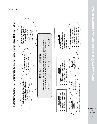

OHIER BARRERS HO AFFORDARLE, QUALITY OARE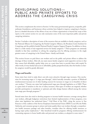## DEVELOPING SOLUTIONS— PUBLIC AND PRIVATE EFFORTS TO ADDRESS THE CAREGIVING CRISIS

This section complements the review in Section 3 of the many governmental agencies, nonprofits, philanthropic foundations, and businesses whose activities have helped to improve caregiving in America. Just as a detailed discussion of the efforts of any one of these organizations is beyond the scope of this report, in the current section we can only summarize some of the most important public and private caregiving initiatives.

Section 3 includes a description of some of the resources that are available to family caregivers, such as the National Alliance for Caregiving, the Family Caregiver Alliance, the Rosalynn Carter Institute for Caregiving, and the publicly funded National Family Caregiver Support Program. In addition to these, there is a wide variety of stat-supported services for family caregivers.<sup>143</sup> These programs are extremely valuable in that they contribute to solving the caregiving crisis by offering assistance to the single greatest source of caregiving in the United States—family and friends.

This section focuses on paid direct care workers and on the public and private efforts to address the shortage of these workers. After all, one main reason family caregivers need supportive services is that they cannot find affordable, quality help, even on a part-time basis to provide them with respite! In other words, if every family had access to affordable, quality paraprofessionals, then the burden on family caregivers would be greatly alleviated.

## **Wages and benefits**

Some states have tried to make direct care jobs more attractive through wage increases. One mechanism for increasing wages is "a wage pass-through," which basically earmarks a portion of Medicaid reimbursement increases (or of other funding sources) for increases in wages (or in benefits) of direct care workers.<sup>144</sup> Twenty-one states had implemented wage pass-through legislation as of 2003. There is a great deal of variation in the size of salary increases, what types of workers are targeted, whether provider participation is mandatory or optional, and other design features offered among the various state wage pass-through programs.<sup>145</sup>

Several states have also tried to develop programs to increase health-insurance coverage among direct care workers, although budgetary restrictions have limited implementation of these programs, even when state legislation has authorized them.<sup>146</sup> Gail Hunt of the NAC, citing the success in San Francisco of the coalition of the Service Employees International Union (SEIU) Local 250, the Public Authority, and consumer groups to attract and retain quality direct care workers through a comprehensive health insurance package and other benefits, considers ideas for offering health insurance as having major policy implications.<sup>147</sup> Also beneficial would be programs offering reimbursements for commuting expenses to home health aides and personal care workers, as adopted in some states.<sup>148</sup>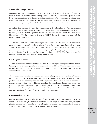### **Enhanced training initiatives**

Prior to starting their jobs, most direct care workers receive little or no formal training.<sup>149</sup> Aides working in Medicare- or Medicaid-certified nursing homes or home health agencies are required by federal law to receive a minimum level of training within a specified time.150 But the mandated training under federal law is inadequate in the view of many industry experts,<sup>151</sup> and there is evidence that some workers are not receiving training that will allow them to effectively serve their clients.<sup>152</sup>

About half of the states require more than the minimum levels set by federal law.153 And, as discussed in Section 3, several organizations have developed enhanced training programs throughout the country. Among these are PHI's Cooperative Home Care Associates, and the ElderStay@home Certified Home Caregiver Training program established by SCSHE. Some training programs target both formal and informal caregivers.

The American Red Cross's Family Caregiving Program, launched in 2004, serves as both an informational and training resource for family caregivers. The training program covers home safety, financial and legal issues, bathing, health maintenance, and other topics. Special modules of the program include general caregiving skills, assisting with personal care, caring for the caregivers, caregiving for a loved one with Alzheimer's or dementia, and caring for a loved one with HIV/AIDS. Training is provided through American Red Cross chapters throughout the country.154

#### **Creating career ladders**

An important aspect of caregiver training is the creation of a career path with opportunities that establish caregiving as its own respected and valued profession in health care. There is little point in training and educating a cadre of caregivers who cannot afford to remain in the field because there are no opportunities for advancement.

The development of career ladders for direct care workers is being explored by several states.<sup>155</sup> Usually, these programs emphasize opportunities for advancement from aide to registered nurse or licensed practical nurse.156 But moving up the career ladder to professional licensure in this way does not appeal to many of these workers, who would prefer instead developing skills that allowed them to move into positions of greater authority—and higher wages—in jobs more closely related to their current work. For example, New York City has experimented with creating a cadre of "field support liaisons" who visit care attendants in the field, identify problems, and provide peer support.<sup>157</sup>

#### **Consumer-directed care**

One way states have tried to broaden the pool of potential workers is through consumer-directed care options. Essentially, through consumer-directed care, the care recipient has the final say regarding the planning and directing of his or her own care. Recipients of care may hire friends or family members and control the funding, although the programs vary from state to state.<sup>158</sup>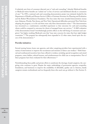A relatively new form of consumer-directed care is "cash and counseling," whereby Medicaid benefits or Medicaid waiver benefits are "cashed out" in lieu of services and distributed directly to consumers of care.159 In 1995, a national cash-and-counseling demonstration project was initiated, funded by the Department of Health and Human Service's Office of Assistant Secretary for Planning and Evaluation and the Robert Wood Johnson Foundation. The four states that were awarded demonstration money were Arkansas, Florida, New Jersey, and New York. Operational difficulties prevented New York from adopting the program, so in the end there were only three demonstration states.<sup>160</sup> The demonstration was structured as a randomized, controlled experiment so that outcomes for cash-and-counseling clients could be compared to outcomes for clients of managed home care services.161 A 2005 evaluation of the demonstration found "overwhelmingly positive effects on the well-being of consumers and caregivers," but higher resulting Medicaid costs that "may raise concerns for states that have tight budget constraints."162 The program has subsequently been expanded to 12 other states, based upon the success of the demonstration.<sup>163</sup>

#### **Provider initiatives**

Several nursing homes, home care agencies, and other caregiving providers have experimented with a variety of interventions to improve the recruitment and retention of direct care workers.<sup>164</sup> Both financial and nonfinancial incentives have been offered to workers, including special recognition and award programs, career ladders, referral bonuses, and reimbursement for child care or transportation. Few of these programs have been evaluated for their effectiveness.<sup>165</sup>

Notwithstanding these public and private efforts to ameliorate the shortage of paid caregivers, the caregiving crisis continues to grow. Despite the major undertakings of government agencies, nonprofits, foundations, and businesses to improve the availability of affordable, quality care in America, family caregivers remain overburdened, and too frequently those who need care go without it. (See Section 3).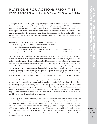## PLATFORM FOR ACTION: PRIORITIES FOR SOLVING THE CAREGIVING CRISIS

This report is part of the multiyear Caregiving Project for Older Americans, a joint initiative of the International Longevity Center-USA and the Schmieding Center for Senior Health and Education. One guiding principle of our project is to learn from both the formal and informal caregiving worlds, which typically are treated—notwithstanding their empirical interconnectedness—as separate and distinct by advocates, lobbyists, and policymakers. In developing solutions to the caregiving crisis, we take the approach urged by such caregiving experts as Robyn Stone and Gail Hunt—a comprehensive, integrated approach.

Ongoing work of The Caregiving Project for Older Americans involves:

- assembling a national advisory committee and expert panel,
- convening a national caregiving summit, and
- conducting a series of national caregiving surveys, comparing the perspectives of paid home caregivers to those of other stakeholders, such as care recipients or state Medicaid directors.

While numerous state- and local-level surveys of paid caregivers in the United States have been conducted and evaluated in recent years, most of these were of institutionally based caregivers as opposed to home-based workers.<sup>166</sup> There have been national-level surveys of nursing homes, home care agencies, and providers of health and supportive services for older people,167 but no national survey of direct care workers themselves has been conducted. The difficulty of identifying a nationally representative sample of paid direct care workers, especially those in home-based settings, and even more so those who work independently of home health agencies, probably explains why this group has not been surveyed. A better understanding of how to develop a dependable, affordable, quality direct care workforce could be achieved if a way could be found to explore—through a national survey—this uncharted territory.

Also beneficial would be national surveys designed to document both the need for home care in the population and the need for home care workers with better training. Relatively little is known about (1) how many people hire paid caregivers; (2) how many pay out of pocket; and (3) how they find the paid caregivers, whether through an agency, word of mouth, or otherwise. How difficult was it for them to find a paid caregiver? A national survey of people who have paid for home-based caregiving would help answer these and other questions, and could include consumer assessments of the quality of care provided by the caregiver and her level of training.

The findings of our national caregiving surveys will inform the later stages of our work in *Caregiving in America.* The development of our project will also be guided by the ideas and feedback generated by our national advisory committee and expert panel, and through our national caregiving summit. The core components of our future work include: (1) developing a curricula for paid and family caregivers with special modules on dementia, congestive heart failure, and other conditions; (2) working to create an accreditation and national certification program; (3) working to establish a career ladder initiative, and (4) efforts to found a national association for professional caregivers. Following is a brief description of these four ideas.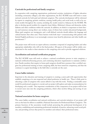## **Curricula for professional and family caregivers**

In cooperation with caregiving organizations, professional societies, institutions of higher education (including community colleges), and other organizations, the ILC-SCSHE team will work to create national curricula for both paid and informal caregivers. The curricula development will be informed by experts in caregiving, geriatric medicine, nursing, health policy, and social work, as well as by curricula models throughout the country, including the model created in Arkansas by the SCSHE. We plan to develop special modules for congestive heart failure, Alzheimer's disease and dementia, stroke, diabetes and other conditions within the curricula. In addition, we think it is important to foster literacy and numeracy among direct care workers, many of whom have modest educational backgrounds. Many paid caregivers are immigrants, and a well-defined curricula should address the language and cultural barriers that often exist. These barriers work both ways—communicating with patients with limited English proficiency is an increasingly common issue faced by physicians and other health care practitioners.<sup>168</sup>

The project team will recruit an expert advisory committee composed of caregiving leaders and other appropriate stakeholders who will vet the final product. All aspects of the project will be widely communicated to the media to draw attention to the caregiving crisis and to provide suggested solutions.

### **Accreditation and national certification program**

The ILC-SCSHE team will work to achieve a national accreditation process to train caregivers, a national certification/licensing process, and continuing education requirements to maintain certification. Family members that require in-home paid caregivers should have assurance that a certified caregiver has professional training in home caregiving skills, has been tested for competency, and that she continues to acquire knowledge in the field (this is currently not the case).

### **Career ladder initiative**

Important in the education and training of caregivers is creating a career path with opportunities that establish caregiving as its own respected and valued profession in health care. There is little point in educating a cadre of caregivers who cannot afford to stay with this work. Finding a sustainable career model for professional caregivers is crucial, and our project will explore and make recommendations for developing such a model. One important consideration of this component of our project will be how to recruit more men into the caregiving profession, which often involves lifting and moving of care recipients.

#### **National association for home caregivers**

The career ladder, accreditation and national certification, and curricula initiatives of our project will serve as the basis for efforts to establish a National Association for Professional Home Caregivers. The primary functions of the association would include promoting the professional development of its members, establishing and maintaining professional standards of practice, advancing sound social policies, and providing services that protect its members and enhance their professional status.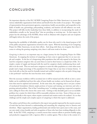# CONCLUSION

An important objective of the ILC-SCSHE Caregiving Project for Older Americans is to ensure that various stakeholder organizations both inform and benefit from the results of our project. The insights of representatives from government agencies, corporations, health care providers, and nonprofits in the fields of health care, gerontology, policymaking, academia, and business all will influence our work. This project will fully involve leadership from these fields, in addition to incorporating the needs of stakeholders actually on the "ground floor" that are providing or receiving care. In that respect, the project has the advantage of the SCSHE, whose work in Arkansas with caregivers and care recipients will largely inform the work of the project.

Improving the availability of affordable, quality care for those who need it is the shared purpose of all of the public and private organizations reviewed in this report. With the launching of our Caregiving Project for Older Americans, we join their efforts. And along with them, we recognize that when it comes to solving the growing caregiving crisis, there is still more work to be done.

*Caregiving in America* is an important step on a larger journey for the Caregiving Project for Older Americans. In mapping the territory of caregiving, we have come to appreciate that it is at once simple and complex. In the face of a burgeoning older population that will only expand in the future, the need for competent caregivers who can assist those in need in their homes is a simple fact of life. It is simply a matter of supply and demand with the need for caregivers clearly outdistancing those available to do the work. Thus we need more caregivers to assist the older population at a time when more people (and a larger percentage of the population) live longer than at any time in human history. A close look tells us that the need for formally trained and certified caregivers who are paid a living wage is also profound—and here the issue becomes more complex.

How the necessary workforce will be recruited, how it will be trained and who will do it, how a career ladder can be established and how this cadre of home health care workers can be financed are all questions that must be explored and answered. At the same time, the caregiving crisis is not just a matter of mechanical formulation wherein ample portions of money and training can intervene and solve a growing national problem. Part of that "something more," is making caregiving a respected occupation and a calling for those who choose this career route. Getting to that desirable goal is not an insoluble problem, but a matter for which there will be reasonable solutions over time. Some of those are mentioned specifically in this report, others require continued and creative work to be realized. It is to that challenge and the simple and complex aspects of caregiving to which this report is addressed.

The authors and all those who contributed to this report were greatly impressed by the massive amount of work that has been devoted to understanding and unraveling the caregiving crisis in America and elsewhere. Major organizations, leading professionals and scholars have spent years in this cause, and our own study is done humbly and with recognition of those who have been working diligently in this field. At the ILC-USA, caregiving is a central concern that connects efforts to promote healthy aging and productive engagement with a vigorous effort to combat ageism. This is done in the context of a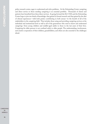policy research center, eager to understand and solve problems. At the Schmieding Center caregiving and direct service to those needing caregiving is an essential portfolio. Thousands of clients and patients have benefited from these direct services. In going forward the ILC-USA and the Schmieding Center hope to join two kinds of knowledge: that gained in formal research and that gained by the dint of clinical experiences—with both parties contributing in both arenas—to the benefit of all of the stakeholders in the caregiving field. That includes those using and providing caregiving services at the individual and institutional level as well as all of the generations who need to know and understand caregiving—from young children and middle-aged adults to those in the last years of their lives. Caregiving for older persons is not confined solely to older people. The understanding, involvement, and creative cooperation of their children, grandchildren, and others are also essential to the challenges ahead.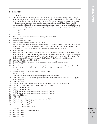## ENDNOTES

- 1. Girion 2006.
- 2. Both *informal caregiver* and *family caregiver* are problematic terms. The word *informal* has the unintentional connotation of laxity; and the term *family caregiver* refers to care that is provided not just by family members but also by friends, neighbors, and volunteers. Even the term *caregiver* is not without controversy, since some observers prefer to use it exclusively to mean informal (family) help. Throughout this report, formal or paid caregivers are sometimes called direct care workers or paraprofessionals. This group is distinct from family, unpaid, or informal caregivers. When the term *caregiver* stands alone, both formal and informal caregivers are meant.
- 3. Gibson 2004.
- 4. Gibson 2004.
- 5. Gibson 2004.
- 6. Anti-Ageism Taskforce at the International Longevity Center 2006.
- 7. Silverman 2006.
- 8. Aaronson and Sullivan 2001.
- 9. MetLife Mature Market Institute and NAC 2006.
- 10. Flextime, telecommuting, and job-sharing are among the programs suggested by MetLife Mature Market Institute and NAC 2006. While the MetLife/NAC report did not limit itself to older caregivers, these same programs are likely to be attractive to older workers (Muller and Knapp 2003).
- 11. Seavey et al. 2005.
- 12. Seavey et al. 2005. Dr. Robyn Stone reviewed the cited article, which was published by the Institute for the Future of Aging Services (IFAS). The article argues for greater integration of paid and family caregiving into a more comprehensive system. Its primary author, Dorie Seavey, is national policy specialist for the Paraprofessional Healthcare Institute (PHI). IFAS and PHI often work in collaboration.
- 13. Interview with Gail Hunt, May 12, 2006.
- 14. Both IFAS and PHI were involved in the article cited in footnote 12, as noted therein.
- 15. Seavey et al. 2005.
- 16. As described in the foreword, this is a multiyear, joint project of the International Longevity Center-USA (ILC) and the Schmieding Center for Senior Health and Education (SCSHE).
- 17. Stone 2004.
- 18. Kaiser Commission on Medicaid and the Uninsured 2004.
- 19. Walker et al. 1995.
- 20. Definitions for these and many other terms are provided in the glossary.
- 21. Levine et al. 2004, p. 152. While the quotation refers to family caregivers, the same idea may be applied to paid caregivers.
- 22. Levine et al. 2004.
- 23. Leon and Franco 1998. The study was limited to caregivers of the Medicare population.
- 24. U.S. Department of Health and Human Services, HRSA 2004.
- 25. Feldman and Ahrens 2005.
- 26. Feldman and Ahrens 2005, p. 1.
- 27. O\*NET Online, http://online.onetcenter.org, accessed May 2006.
- 28. O\*NET Online, http://online.onetcenter.org, accessed May 2006.
- 29. O'Brien and Elias 2004.
- 30. NAC 2003.
- 31. U.S. Department of Health and Human Services et al. 2003.
- 32. U.S. Census Bureau 2000, Ch. 5.
- 33. U.S. Census Bureau 2000, Ch. 5.
- 34. Longino and Warnes 2005.
- 35. Longino and Warnes 2005, p. 539.
- 36. Stone 2004.
- 37. NAC and AARP 2004; Feder et al. 2000.
- 38. NAC and AARP 2004.
- 39. NAC and AARP 2004.
- 40. Feder et al. 2000.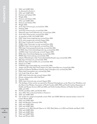- 41. NAC and AARP 2004.
- 42. As discussed in Section 1.
- 43. NAC and AARP 2004.
- 44. Newsom and Schulz 1998.
- 45. Wright 2006.
- 46. Newsom and Schulz 1998.
- 47. NAC and AARP 2004.
- 48. Newsom and Schulz 1998.
- 49. Wright 2006.
- 50. AoA, http://www.aoa.gov, accessed June 2006.
- 51. Feinberg 2006.
- 52. AoA http://www.aoa.gov, accessed July 2006.
- 53. Elderweb, http://www.elderweb.com, accessed June 2006.
- 54. AoA, http://www.aoa.gov, accessed June 2006.
- 55. As reported in NAC and AARP 2004.
- 56. NAC, http://www.caregiving.org, accessed June 2006.
- 57. FCA, www.caregiver.org, accessed August 2006.
- 58. RCI, http://rci.gsw.edu, accessed June 2006.
- 59. NQCC, http://www.nqcc-rci.org, accessed June 2006.
- 60. J&J/RCI, http://www.rci.gsw.edu, accessed June 2006.
- 61. PHI, http://www.paraprofessional.org, accessed July 2006.
- 62. SCSHE, http://www.schmiedingcenter.org, accessed July 2006.
- 63. AAHSA, http://www.aahsa.org, accessed August 2006.
- 64. IFAS, http://www.futureofaging.org, accessed July 2006.
- 65. RWJF, http://www.rwjf.org, accessed July 2006.
- 66. Atlantic Philanthropies, http://www.atlanticphilanthropies.org, accessed July 2006.
- 67. J&J, http://www.jnj.com, accessed July 2006.
- 68. MetLife, http://www.metlife.com, accessed July 2006.
- 69. Dennis et al. 2005.
- 70. NYBGH, http://www.nybgh.org, accessed July 2006.
- 71. Amgen and Eli Lilly, http://www.amgen.com, http://www.lilly.com, accessed July 2006.
- 72. Johnson & Johnson Healthcare Systems, http://www.jjhcs.com, accessed July 2006.
- 73. Pfizer, http://www.pfizer.com, accessed July 2006.
- 74. U.S. Code, Title 29, sec. 2601.
- 75. SEIU, http://www.seiu.org, accessed August 2006.
- 76. Private communication with Gail Hunt.
- 77. Newman 2006.
- 78. SEIU, http://www.seiu.org, accessed August 2006.
- 79. The findings of these surveys are reported in National Clearinghouse on the Direct Care Workforce and the Direct Care Workers Association of North Carolina 2005; PHI and North Carolina Department of Health and Human Services 2004 and 2002; and North Carolina Division of Facility Services 2001, 2000, and 1999.
- 80. NCOA and Pfizer 2003 and NCOA 2001.
- 81. Arno 2002. This is discussed further in Section 6.
- 82. NAC and AARP 2004.
- 83. The median for caregiver households is from NAC and AARP 2004; the national median is from U.S. Census Bureau 2006.
- 84. NAC and AARP 2004.
- 85. NAC and Brandeis University 1999.
- 86. NAC and AARP 2004.
- 87. NAC and AARP 2004.
- 88. Cannuscio et al. 2002; Kiecolt-Glaser et al. 1995; MacCallum et al. 2003; and Schulz and Beach 1999.
- 89. NAC and AARP 2004.
- 90. NAC and AARP 2004.
	- 91. NAC and AARP 2004.
	- 92. Stone and Wiener 2001.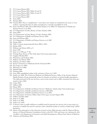- 93. U.S. Census Bureau 2001.
- 94. U.S. Census Bureau 2001, Tables 44 and 45.
- 95. U.S. Census Bureau 2001, Tables 44 and 45.
- 96. U.S. Census Bureau 2001.
- 97. U.S. Census Bureau 2001.
- 98. Stone 2004.
- 99. Yamada 2002.
- 100. Yamada 2002. This is a simplification—some direct care workers are classified by the source as "nonworkers," meaning that they are either unemployed or currently unavailable for work.
- 101. Stone and Wiener 2001; Stone 2004; Harris-Kojetin et al. 2004; U.S. Department of Health and Human Services et al. 2003.
- 102. U.S. Department of Labor, Bureau of Labor Statistics 2006.
- 103. Stone 2004.
- 104. U.S. Department of Labor, Bureau of Labor Statistics 2005.
- 105. U.S. Department of Health and Human Services 2004.
- 106. Stone and Wiener 2001.
- 107. U.S. Department of Health and Human Services et al. 2003.
- 108. Hecker 2005.
- 109. Table 5.4 shows projected growth from 2004 to 2014.
- 110. Hecker 2005.
- 111. Feldman and Ahrens 2005, p. 8.
- 112. Stone 1999.
- 113. Kane et al. 1998, pp. 77–82.
- 114. Visiting Nurse Service of New York. http://www.vnsny.org/research.
- 115. Vaughan-Wrobel 2005.
- 116. Winchester and Frydman 2003.
- 117. Feldman and Ahrens 2005.
- 118. Feldman and Ahrens 2005.
- 119. Kaiser Commission on Medicaid and the Uninsured 2004.
- 120. Fox-Grage et al. 2004.
- 121. Watzman et al. 2006.
- 122. Markoff 2006.
- 123. Feinberg 2006.
- 124. Arno 2002, unpublished update of the estimates of Arno et al. 1999.
- 125. Smith et al. 2006. The Centers for Medicare and Medicaid Services, Office of the Actuary, National Health Statistics Group, periodically revises its estimates of numbers on national health expenditures. The tables presented in the text are from a more recent revision and so differ somewhat from those presented in Arno 2002.
- 126. Cohen 2003.
- 127. O'Brien 2005.
- 128. Moses 2004.
- 129. U.S. Department of Health and Human Services' "Medicare" website, http://www.medicare.gov.
- 130. U.S. Department of Health and Human Services, CMS 2006.
- 131. U.S. Department of Health and Human Services et al. 2003.
- 132. U.S. Department of Veterans Affairs, http://www.va.gov, accessed August 2006.
- 133. O'Brien and Elias 2004.
- 134. Feder et al. 2000.
- 135. Feder et al. 2000.
- 136. Taylor et al. 1999.
- 137. A doctor's order is usually sufficient to establish need for personal care services, but in some states it is necessary to establish the need for assistance with a threshold number of "activity of daily living" (ADL) limitations.
- 138. Much of the information in this subsection is based on June 2006 interviews with Dr. Harrison Bloom, director of Clinical Education Consultation Service at the ILC-USA and former vice chairman for clinical affairs in the Department of Geriatrics and Adult Development at Mount Sinai School of Medicine.
- 139. Anderson and Knickman 2001.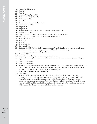- 140. Loengard and Boal 2004.
- 141. Stone 2004.
- 142. Stone 2004.
- 143. Coleman 2000; Wagner 2001.
- 144. PHI and IFAS 2003; Stone 2004.
- 145. PHI and IFAS 2003.
- 146. Stone 2004.
- 147. Private communication with Gail Hunt.
- 148. Stone and Wiener 2001.
- 149. Wright 2005.
- 150. Wright 2005.
- 151. Interview with Carol Rodat and Steve Edelstein of PHI, March 2006.
- 152. PHI and IFAS 2005.
- 153. Wright 2005. As of 2002, 26 states required training above the federal levels.
- 154. American Red Cross, www.redcross.org, accessed August 2006.
- 155. Stone and Wiener 2001.
- 156. Stone 2004.
- 157. Stone 2004.
- 158. Kane et al. 1998.
- 159. Kane et al. 1998.
- 160. Carlson et al. 2005. The New York State Association of Health Care Providers notes that a lack of support from counties and health care providers caused New York to exit the program. http://www.nyshcp.org, accessed August 2006.
- 161. Kane et al. 1998.
- 162. Dale and Brown 2005. Quotations are from p. xii and p. 51.
- 163. Cash and Counseling National Program Office, http://www.cashandcounseling.org/, accessed August 2006.
- 164. Stone and Wiener 2001.
- 165. Stone and Wiener 2001.
- 166. Bowers et al. 2003; Brannon et al. 2002; Eaton 2001; Franks et al. 2002; Hams et al. 2002; Harahan et al. 2003; Hunter 2000; Jervis 2002; Konrad 2003; Kopiec 2000; Luz 2001; Mickus et al. 2004; Noelker and Ejaz 2001; Parsons et al. 2003; and Pennington and Magilvy 2003.
- 167. AHCA 2003; NCOA 2003; and NCOA 2001.
- 168. Weise 2006.
- 169. Kane et al. 1998; Stone and Weiner 2001; Van Kleunen and Wilner 2000; *Almost Home,* 371 Productions, http://www.almosthomedoc.org, accessed April 2006; U.S. Department of Health and Human Services, http://aspe.hhs.gov, accessed July 2006; Utah Coalition for Caregiver Support, http://www.caregivers.utah.gov, accessed April 2006; Oakland Medical Center, http://oakland.kaiser.org, accessed July 2006; and Community Living Exchange Collaborative, http://www.hcbs.org, accessed July 2006. Much of this gloassary was taken verbatim from these sources.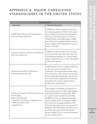# APPENDIX A. MAJOR CAREGIVING STAKEHOLDERS IN THE UNITED STATES

| <b>NONPROFITS</b>                                                                                                                                                                       |                                                                                                                                                                                                                                                                                                                                                                                                                                                                                                                                                                       |  |
|-----------------------------------------------------------------------------------------------------------------------------------------------------------------------------------------|-----------------------------------------------------------------------------------------------------------------------------------------------------------------------------------------------------------------------------------------------------------------------------------------------------------------------------------------------------------------------------------------------------------------------------------------------------------------------------------------------------------------------------------------------------------------------|--|
| Organization                                                                                                                                                                            | <b>About the Organization*</b>                                                                                                                                                                                                                                                                                                                                                                                                                                                                                                                                        |  |
| AARP Family, Home, and Legal program<br>http://www.aarp.org/families                                                                                                                    | AARP has a variety of programs that focus<br>on enhancing quality of life for older people.<br>by providing its members with information,<br>advocacy, and service programs. Under its<br>Family, Home, and Legal program, AARP<br>has developed a caregiving initiative that pro-<br>vides caregivers with information on various<br>issues in the field.                                                                                                                                                                                                            |  |
| American Academy of Home Care Physicians<br>http://www.aahcp.org/                                                                                                                       | AAHCP members include home care physi-<br>cians, physicians who make house calls, care<br>for homebound patients, act as home health<br>agency medical directors, or who refer patients<br>to home care agencies.                                                                                                                                                                                                                                                                                                                                                     |  |
| American Association for Homecare<br>http://www.aahomecare.org                                                                                                                          | AAHomecare focuses on making health care<br>in the home more accessible for all<br>Americans. The organization provides home<br>care services by a wide variety of nursing and<br>home health aide professionals such as med-<br>ical social workers, registered nurses/licensed<br>practical nurses, family caregivers, home<br>health aides, and physicians.                                                                                                                                                                                                        |  |
| American Association of Homes and Services<br>for the Aging<br>http://www.aahsa.org/<br>• Institute for the Future of Aging Services<br>Better Jobs Better Care<br><b>Quality First</b> | The members of AAHSA are organizations<br>that provide services for older people ranging<br>from home health to nursing homes. IFAS<br>is a policy research institute housed within<br>AAHSA. Its aim is to advance the develop-<br>ment of quality health, housing, and support-<br>ive services for the aging population in the<br>U.S., through policy practice and research. In<br>affiliation with IFAS, Better Jobs Better Care<br>is a three-year research and demonstration<br>project. Quality First is a framework for quali-<br>ty care in aging services. |  |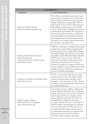| <b>NONPROFITS</b>                                                                                                       |                                                                                                                                                                                                                                                                                                                                                                                                                                                                                                                                                                                                                                             |  |  |
|-------------------------------------------------------------------------------------------------------------------------|---------------------------------------------------------------------------------------------------------------------------------------------------------------------------------------------------------------------------------------------------------------------------------------------------------------------------------------------------------------------------------------------------------------------------------------------------------------------------------------------------------------------------------------------------------------------------------------------------------------------------------------------|--|--|
| Organization                                                                                                            | About the Organization*                                                                                                                                                                                                                                                                                                                                                                                                                                                                                                                                                                                                                     |  |  |
| American Geriatrics Society<br>http://www.americangeriatrics.org                                                        | The AGS is a nationwide association of geri-<br>atrics health care professionals, research scien-<br>tists, and others dedicated to improving the<br>health, independence, and quality of life of<br>older people in the U.S. The AGS promotes<br>high quality, comprehensive, and accessible<br>care for older people, including those who are<br>chronically ill and disabled. The organization<br>provides leadership to health care profession-<br>als, policymakers, and the public by develop-<br>ing, implementing, and advocating programs<br>in patient care, research, professional and pub-<br>lic education, and public policy. |  |  |
| American Health Care Association<br>http://www.ahca.org<br>• National Center for Assisted Living<br>http://www.ncal.org | AHCA is a federation of affiliated state health<br>organizations, representing nonprofit and for-<br>profit assisted-living, nursing facility, develop-<br>mentally disabled, and subacute care providers<br>for elderly and disabled individuals nationally.<br>AHCA also serves as a source within the<br>long-term care field, providing information,<br>education, and administrative tools that<br>enhance the quality of caregiving. NCAL rep-<br>resents nonprofit and for-profit assisted-living<br>residences that are dedicated to professional<br>care for the elderly and disabled.                                             |  |  |
| Consumer Consortium on Assisted Living<br>http://www.ccal.org                                                           | CCAL is an education and advocacy organi-<br>zation focused on the needs, rights, and pro-<br>tection of assisted-living consumers, their<br>caregivers, and care receivers. CCAL educates<br>consumers, trains professionals, and advocates<br>for assisted-living issues.                                                                                                                                                                                                                                                                                                                                                                 |  |  |
| Family Caregiver Alliance<br>National Center on Caregiving<br>http://www.caregiver.org                                  | The Family Caregiver Alliance addresses the<br>needs of family and friends who provide care-<br>giving and long-term care services at home. It<br>offers support services to caregivers nation-<br>wide, statewide, and locally. The NCC was<br>established as a program of the Family<br>Caregiver Alliance. Its aim is to develop cost-<br>effective policies and programs for caregivers<br>in every state of the U.S. NCC focuses on<br>research and public policy and also serves as<br>an informational resource on caregiving and<br>long-term care issues for policymakers,<br>providers, family caregivers, and media.             |  |  |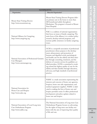| <b>NONPROFITS</b>                                                                             |                                                                                                                                                                                                                                                                                                                                                                                                                                                                                                                                                          |  |
|-----------------------------------------------------------------------------------------------|----------------------------------------------------------------------------------------------------------------------------------------------------------------------------------------------------------------------------------------------------------------------------------------------------------------------------------------------------------------------------------------------------------------------------------------------------------------------------------------------------------------------------------------------------------|--|
| Organization                                                                                  | About the Organization*                                                                                                                                                                                                                                                                                                                                                                                                                                                                                                                                  |  |
| Mount Sinai Visiting Doctors<br>http://www.mountsinai.org                                     | Mount Sinai Visiting Doctors Program deliv-<br>ers primary care in the home to more than<br>400 homebound adults throughout<br>Manhattan. The program is housed at Mount<br>Sinai Hospital.                                                                                                                                                                                                                                                                                                                                                              |  |
| National Alliance for Caregiving<br>http://www.caregiving.org                                 | NAC is a coalition of national organizations<br>that focus on issues of family caregiving. The<br>main focus of the alliance is to conduct policy<br>research, develop national programs, and<br>increase public awareness on family caregiving<br>issues.                                                                                                                                                                                                                                                                                               |  |
| National Association of Professional Geriatric<br>Care Managers<br>http://www.caremanager.org | GCM is a nonprofit association of professional<br>practitioners whose purpose is the develop-<br>ment, advancement, and promotion of<br>humane and dignified social, psychological,<br>and health care for the elderly and their fami-<br>lies through counseling, treatment, and the<br>delivery of concrete services by qualified, cer-<br>tified providers. GCM is committed to work-<br>ing toward the highest quality of care for the<br>elderly and their families through education,<br>advocacy, and high standards of professional<br>practice. |  |
| National Association for<br>Home Care and Hospice<br>http://www.nahc.org                      | NAHC is a trade association representing the<br>interests and concerns of home care agencies,<br>hospices, home care aide organizations, and<br>medical equipment suppliers. NAHC is dedi-<br>cated to making the lives of home care and<br>hospice providers easier. It offers professional<br>development and policy updates related to<br>home care and hospice.                                                                                                                                                                                      |  |
| National Association of Local Long-term<br>Care Ombudsman Program<br>http://www.nalltco.org   | The National Association of Long-term Care<br>Ombudsman Program focuses on advocating<br>for the rights of long-term care facility resi-<br>dents with the aim of improving their quality<br>of life and care.                                                                                                                                                                                                                                                                                                                                           |  |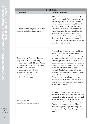| <b>CAREGIVING</b> |
|-------------------|
| IN                |
| AMERICA           |

| <b>NONPROFITS</b>                                                                                                                                                                                                                                                                                     |                                                                                                                                                                                                                                                                                                                                                                                                                                                                                                                                                                                                                                                                                                                              |  |
|-------------------------------------------------------------------------------------------------------------------------------------------------------------------------------------------------------------------------------------------------------------------------------------------------------|------------------------------------------------------------------------------------------------------------------------------------------------------------------------------------------------------------------------------------------------------------------------------------------------------------------------------------------------------------------------------------------------------------------------------------------------------------------------------------------------------------------------------------------------------------------------------------------------------------------------------------------------------------------------------------------------------------------------------|--|
| Organization                                                                                                                                                                                                                                                                                          | <b>About the Organization*</b>                                                                                                                                                                                                                                                                                                                                                                                                                                                                                                                                                                                                                                                                                               |  |
| National Family Caregivers Association<br>http://www.thefamilycaregiver.org                                                                                                                                                                                                                           | NFCA advocates for family caregivers who<br>care for a chronically ill, aged, or disabled per-<br>son. They provide resources and education<br>services such as Communicating Effectively<br>with Healthcare Professionals, which helps<br>caregivers interact with doctors and health<br>care professionals. Together with NAC they<br>have created an outreach program, Family<br>Caregiving: It's Not All Up to You, that puts<br>family caregivers in touch with information<br>and services that can better their lives and the<br>level of care they provide.                                                                                                                                                          |  |
| Paraprofessional Healthcare Institute<br>http://www.paraprofessional.org<br>• Health Care for Health Care Workers<br>• Cooperative Home Care Associates<br>• Home Care Associates<br>• Independence Care System<br>• National Clearinghouse on the<br>Direct Care Workforce<br>• Direct Care Alliance | PHI is a leader in long-term care workforce<br>policy. PHI focuses on developing new<br>approaches to direct-workforce recruitment,<br>retention, training, public policy research, and<br>caregiving practices. HCHCW focuses on the<br>lack of insurance for the direct care workforce.<br>It develops policy solutions and creates aware-<br>ness in order to bring about change. The<br>National Clearinghouse on the Direct Care<br>Workforce is an online library of information<br>on the direct care workforce. The Direct Care<br>Alliance is a national advocacy group that rep-<br>resents consumers, workers, and providers in<br>long-term care and focuses on advocating for<br>quality jobs and quality care. |  |
| Pioneer Network<br>http://www.pioneernetwork.net                                                                                                                                                                                                                                                      | The Pioneer Network is a national network of<br>individuals in the field of long-term care. The<br>organization's mission is to advocate and facil-<br>itate changes in an aging population. It aims<br>to change attitudes and beliefs toward aging.<br>Pioneer Network does this by building sup-<br>port systems, promoting changes in public<br>policy and research, and developing access to<br>resources.                                                                                                                                                                                                                                                                                                              |  |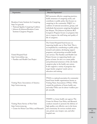| <b>NONPROFITS</b>                                                                                                                                                                       |                                                                                                                                                                                                                                                                                                                                                                                                                                                                                                                                                                                              |  |  |
|-----------------------------------------------------------------------------------------------------------------------------------------------------------------------------------------|----------------------------------------------------------------------------------------------------------------------------------------------------------------------------------------------------------------------------------------------------------------------------------------------------------------------------------------------------------------------------------------------------------------------------------------------------------------------------------------------------------------------------------------------------------------------------------------------|--|--|
| Organization                                                                                                                                                                            | About the Organization*                                                                                                                                                                                                                                                                                                                                                                                                                                                                                                                                                                      |  |  |
| Rosalynn Carter Institute for Caregiving<br>http://rci.gsw.edu<br>• National Quality Caregiving Coalition<br>· Johnson & Johnson/Rosalynn Carter<br><b>Institute Caregivers Program</b> | RCI promotes effective caregiving practices,<br>builds awareness of caregiving needs, and<br>contributes to public policy that focuses on<br>caregiving in the community. NQCC is a<br>coalition of national associations, groups, and<br>individuals that promote caregiving throughout<br>the lifespan. The Johnson & Johnson RCI<br>Caregivers Program focuses on programs that<br>aim to improve the well-being and quality of<br>life of caregivers.                                                                                                                                    |  |  |
| United Hospital Fund<br>http://www.uhfnyc.org<br>· Families and Health Care Project                                                                                                     | The United Hospital Fund focuses on<br>improving health care in New York. This is<br>accomplished by contributing to public policy<br>research and analysis, developing support<br>programs, and promoting accessible health<br>care services. The Families and Health Care<br>Project focuses on supporting family care-<br>givers at home. Its aim is to create public<br>and professional awareness of the role family<br>caregivers play in the health care system.<br>It also supports a variety of programs that<br>target family caregivers' needs such as<br>education and training. |  |  |
| Visiting Nurse Associations of America<br>http://www.vnaa.org                                                                                                                           | VNAA is a national association for community-<br>based home health organizations known as<br>Visiting Nurse Associations (VNAs). VNAs<br>created the profession of home health care,<br>and today VNAs care for about 4 million peo-<br>ple annually.                                                                                                                                                                                                                                                                                                                                        |  |  |
| Visiting Nurse Service of New York<br>http://www.vnsny.org<br>• Center for Home Care Policy and Research                                                                                | VNSNY is a home health care agency. The<br>Center for Home Care Policy and Research<br>conducts research to promote the delivery of<br>high quality, cost-effective care in the home<br>and community. Its services include senior<br>care, private care, hospice care, and after-<br>hospital care.                                                                                                                                                                                                                                                                                         |  |  |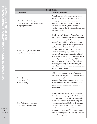| <b>NONPROFITS</b>                                                                          |                                                                                                                                                                                                                                                                                                                                                                                                                                                                                                                                                                                                                                                                                                                        |
|--------------------------------------------------------------------------------------------|------------------------------------------------------------------------------------------------------------------------------------------------------------------------------------------------------------------------------------------------------------------------------------------------------------------------------------------------------------------------------------------------------------------------------------------------------------------------------------------------------------------------------------------------------------------------------------------------------------------------------------------------------------------------------------------------------------------------|
| Organization                                                                               | <b>About the Organization*</b>                                                                                                                                                                                                                                                                                                                                                                                                                                                                                                                                                                                                                                                                                         |
| The Atlantic Philanthropies<br>http://www.atlanticphilanthropies.org<br>• Ageing Programme | Atlantic seeks to bring about lasting improve-<br>ments in the lives of older adults, transform<br>how aging is viewed within society, and<br>improve the way older persons are treated by<br>society. It focuses on aging in Bermuda,<br>Northern Ireland, the Republic of Ireland, and<br>the United States.                                                                                                                                                                                                                                                                                                                                                                                                         |
| Donald W. Reynolds Foundation<br>http://www.dwreynolds.org                                 | The Donald W. Reynolds Foundation's spon-<br>sorship of nonprofit organizations and institu-<br>tions has four main goals: (1) meeting the<br>needs of communities in Arkansas, Nevada,<br>and Oklahoma, primarily through improved<br>facilities for local nonprofits; (2) combating<br>atherosclerosis and atherosclerotic heart dis-<br>ease through cutting-edge, translational<br>research; (3) improving the quality of life of<br>older people in the U.S. through better train-<br>ing of physicians in geriatrics; and (4) enhanc-<br>ing the quality and integrity of journalism,<br>focusing particularly on better training of<br>journalists who serve smaller communities and<br>on business journalism. |
| Henry J. Kaiser Family Foundation<br>http://www.kff.org<br>• Health Policy                 | KFF provides information to policymakers,<br>the media, and the public on the major health<br>care issues facing the U.S. KFF is primarily an<br>operating foundation that develops and runs<br>its own research and communications pro-<br>grams, often in partnership with outside<br>organizations.                                                                                                                                                                                                                                                                                                                                                                                                                 |
| John A. Hartford Foundation<br>http://www.jhartfound.org                                   | The Foundation's overall goal is to increase<br>the nation's capacity to provide effective and<br>affordable care to its rapidly increasing older<br>population. Through its grant-making, the<br>Foundation seeks specifically to (1) enhance<br>and expand the training of doctors, nurses,<br>social workers, and other health professionals<br>who care for elders; and (2) promote innova-<br>tions in the integration and delivery of servic-<br>es for all older people.                                                                                                                                                                                                                                        |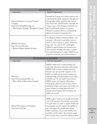| <b>NONPROFITS</b>                                                                                                                      |                                                                                                                                                                                                                                                                                                                                                                                                                                                                                                                                                                                         |
|----------------------------------------------------------------------------------------------------------------------------------------|-----------------------------------------------------------------------------------------------------------------------------------------------------------------------------------------------------------------------------------------------------------------------------------------------------------------------------------------------------------------------------------------------------------------------------------------------------------------------------------------------------------------------------------------------------------------------------------------|
| Organization                                                                                                                           | About the Organization*                                                                                                                                                                                                                                                                                                                                                                                                                                                                                                                                                                 |
| Johnson & Johnson Consumer Products<br>Company<br>http://www.strengthforcaring.com<br>• The Caregiver Initiative "Strength for Caring" | Strength for Caring is an online resource and<br>community for family caregivers. Strength for<br>Caring helps family caregivers take care of<br>their loved ones and themselves. Strength for<br>Caring is part of the Caregiver Initiative cre-<br>ated by Johnson & Johnson Consumer<br>Products Company, Division of Johnson &<br>Johnson Consumer Companies, Inc.                                                                                                                                                                                                                  |
| MetLife Foundation<br>http://www.metlife.com<br>• MetLife Mature Market Institute                                                      | The MetLife Mature Market Institute is the<br>company's information and policy resource<br>center on issues related to aging, retirement,<br>long-term care, and the 50+ marketplace.<br>Staffed by gerontologists, the Institute pro-<br>vides research, training, education, consulta-<br>tion, and information to support MetLife, its<br>corporate customers, and business partners.                                                                                                                                                                                                |
| <b>FOUNDATIONS &amp; BUSINESS</b>                                                                                                      |                                                                                                                                                                                                                                                                                                                                                                                                                                                                                                                                                                                         |
| Organization                                                                                                                           | About the Organization*                                                                                                                                                                                                                                                                                                                                                                                                                                                                                                                                                                 |
| Pfizer Inc<br>http://www.positiveprofiles.com<br>Pfizer Medical Humanities Initiative                                                  | PMHI is dedicated to understanding and<br>enhancing the patient-physician relationship.<br>PMHI works to foster a balance between<br>humane care and scientific expertise in the<br>health care field and promotes compassion,<br>understanding, and partnership as core values<br>in health care. To accomplish this mission,<br>PMHI creates and supports fellowships,<br>scholarships, physician and medical student<br>leadership awards, and community health pro-<br>grams designed to bring physicians and<br>patients closer together and strengthen the<br>health care system. |
| Robert Wood Johnson Foundation<br>http://www.rwjf.org                                                                                  | RWJF seeks to improve the health and health<br>care of all Americans. It prioritizes grants into<br>four goal areas: (1) access to quality health care<br>at reasonable cost; $(2)$ improve the quality of<br>care and support for people with chronic<br>health conditions; (3) promote healthy com-<br>munities; and (4) reduce the personal, social,<br>and economic harm caused by substance abuse.                                                                                                                                                                                 |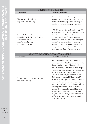| FUUNDAI IUNS & BUSINESS                                                                                                                                   |                                                                                                                                                                                                                                                                                                                                                                                                                                                                                                                                                                                                                                                                                                                                                                                                       |
|-----------------------------------------------------------------------------------------------------------------------------------------------------------|-------------------------------------------------------------------------------------------------------------------------------------------------------------------------------------------------------------------------------------------------------------------------------------------------------------------------------------------------------------------------------------------------------------------------------------------------------------------------------------------------------------------------------------------------------------------------------------------------------------------------------------------------------------------------------------------------------------------------------------------------------------------------------------------------------|
| Organization                                                                                                                                              | <b>About the Organization*</b>                                                                                                                                                                                                                                                                                                                                                                                                                                                                                                                                                                                                                                                                                                                                                                        |
| The Archstone Foundation<br>http://www.archstone.org                                                                                                      | The Archstone Foundation is a private grant-<br>making organization whose mission is to con-<br>tribute toward the preparation of society in<br>meeting the needs of an aging population.                                                                                                                                                                                                                                                                                                                                                                                                                                                                                                                                                                                                             |
| New York Business Group on Health,<br>a subsidiary of the National Business<br>Coalition on Health<br>http://www.nybgh.org<br><b>Eldercare Task Force</b> | NYBGH is a not-for-profit coalition of 150<br>businesses and is the only organization in the<br>New York metropolitan area focused on<br>employer health benefit issues. Members<br>include employers and health-related organi-<br>zations. The Eldercare Task Force brings<br>together different businesses, organizations,<br>and government institutions that have work-<br>place programs for employee caregivers.                                                                                                                                                                                                                                                                                                                                                                               |
| <b>SERVICES EMPLOYEES INTERNATIONAL UNION</b>                                                                                                             |                                                                                                                                                                                                                                                                                                                                                                                                                                                                                                                                                                                                                                                                                                                                                                                                       |
| Organization                                                                                                                                              | <b>About the Organization*</b>                                                                                                                                                                                                                                                                                                                                                                                                                                                                                                                                                                                                                                                                                                                                                                        |
| Service Employees International Union<br>http://www.seiu.org                                                                                              | SEIU's membership includes 1.8 million<br>working people and 50,000 retirees and is the<br>fastest-growing union in North America.<br>SEIU is primarily active in four areas: hospital<br>systems, long-term care, property services, and<br>public services. SEIU is the largest health<br>care union, with 900,000 members in the<br>field, including nurses, LPNs, doctors, lab<br>technicians, nursing home workers, home care<br>workers. It is also the largest property services<br>union, with 225,000 members in the building<br>cleaning and security industries, including<br>janitors, door men and women. SEIU is the<br>second largest public services union, with<br>850,000 local and state government workers,<br>public school employees, bus drivers, and<br>child care providers. |

**FOUNDATIONS & BUSINESS**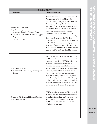| <b>GOVERNMENT</b>                                                                                                                                                   |                                                                                                                                                                                                                                                                                                                                                                                                                                                                                                                                                                                                                                                                                                      |
|---------------------------------------------------------------------------------------------------------------------------------------------------------------------|------------------------------------------------------------------------------------------------------------------------------------------------------------------------------------------------------------------------------------------------------------------------------------------------------------------------------------------------------------------------------------------------------------------------------------------------------------------------------------------------------------------------------------------------------------------------------------------------------------------------------------------------------------------------------------------------------|
| Organization                                                                                                                                                        | About the Organization*                                                                                                                                                                                                                                                                                                                                                                                                                                                                                                                                                                                                                                                                              |
| Administration on Aging<br>http://www.aoa.gov<br>• Aging and Disability Resource Center<br>• DHHS National Family Caregiver Support<br>Program<br>Eldercare Locator | The enactment of the Older Americans Act<br>Amendments of 2000 established the<br>National Family Caregiver Support Program.<br>The program, developed by the Administration<br>on Aging of the U.S. Department of Health<br>and Human Service, is based on successful<br>caregiving programs in states such as<br>California, New Jersey, Wisconsin, and<br>Pennsylvania, and on the needs expressed by<br>family caregivers across the U.S. The<br>Eldercare Locator is a public service initiative<br>of the U.S. Administration on Aging. It con-<br>nects older Americans and their caregivers<br>with sources of information on senior services.<br>Centers for Disease Control and Prevention |
| http://www.atpm.org<br>• Association for Prevention, Teaching, and<br>Research                                                                                      | APTR is the national association supporting<br>health promotion and disease prevention edu-<br>cators and researchers. APTR includes mem-<br>bers of the Association of Preventive<br>Medicine Residents. Individual members<br>include physicians, nurses, public health pro-<br>fessionals, and health services researchers.<br>Institutional members include academic<br>departments and programs, health agencies,<br>and schools of public health. APTR develops<br>vital curriculum and communication tools for<br>educators, researchers, residents, and students,<br>and promotes professional development.                                                                                  |
| Center for Medicare and Medicaid Services<br>http://www.cms.hhs.gov                                                                                                 | CMS's overall goal is to serve Medicare and<br>Medicaid beneficiaries and improve the qual-<br>ity and efficiency of the U.S. health care sys-<br>tem. It also aims to improve the quality of<br>health and health outcomes of Medicare and<br>Medicaid beneficiaries.                                                                                                                                                                                                                                                                                                                                                                                                                               |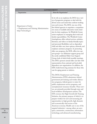|                                                                                       | <b>GOVERNMENT</b>                                                                                                                                                                                                                                                                                                                                                                                                                                                                                                                                                                                                                                                                                                                                                                                                                                                                                                                                                                                                                                                                                                                                  |
|---------------------------------------------------------------------------------------|----------------------------------------------------------------------------------------------------------------------------------------------------------------------------------------------------------------------------------------------------------------------------------------------------------------------------------------------------------------------------------------------------------------------------------------------------------------------------------------------------------------------------------------------------------------------------------------------------------------------------------------------------------------------------------------------------------------------------------------------------------------------------------------------------------------------------------------------------------------------------------------------------------------------------------------------------------------------------------------------------------------------------------------------------------------------------------------------------------------------------------------------------|
| Organization                                                                          | <b>About the Organization*</b>                                                                                                                                                                                                                                                                                                                                                                                                                                                                                                                                                                                                                                                                                                                                                                                                                                                                                                                                                                                                                                                                                                                     |
| Department of Labor<br>• Employment and Training Administration<br>http://www.dol.gov | In its role as an employer, the DOL has a vari-<br>ety of progressive programs to deal with the<br>diverse issues and needs that confront working<br>men and women. The DOL was one of the<br>first federal agencies to negotiate a comprehen-<br>sive menu of available alternative work sched-<br>ules for their employees. Its WorkLife Center<br>assists employees in managing their work and<br>family responsibilities. The WorkLife Center<br>clearinghouse offers referral services, websites,<br>literature, and videos on family-friendly topics<br>and personnel flexibilities such as dependent<br>child and elder care, leave options, telework, and<br>employee assistance programs. In promoting<br>elder care programs, the DOL offers two sup-<br>port groups-an Alzheimer support group and<br>the newly established Elder Care Support<br>Group, both of which hold monthly meetings.<br>The DOL sponsors annual elder care fairs with<br>representatives from national and local adult<br>dependent care organizations. In addition, the<br>DOL holds brown bag seminars for those who<br>care for aging parents or relatives. |
|                                                                                       | The DOL's Employment and Training<br>Administration (ETA) administers federal                                                                                                                                                                                                                                                                                                                                                                                                                                                                                                                                                                                                                                                                                                                                                                                                                                                                                                                                                                                                                                                                      |
|                                                                                       | government job training and worker disloca-                                                                                                                                                                                                                                                                                                                                                                                                                                                                                                                                                                                                                                                                                                                                                                                                                                                                                                                                                                                                                                                                                                        |
|                                                                                       | tion programs, federal grants to states for                                                                                                                                                                                                                                                                                                                                                                                                                                                                                                                                                                                                                                                                                                                                                                                                                                                                                                                                                                                                                                                                                                        |
|                                                                                       | public employment service programs, and                                                                                                                                                                                                                                                                                                                                                                                                                                                                                                                                                                                                                                                                                                                                                                                                                                                                                                                                                                                                                                                                                                            |
|                                                                                       | unemployment insurance benefits. These serv-                                                                                                                                                                                                                                                                                                                                                                                                                                                                                                                                                                                                                                                                                                                                                                                                                                                                                                                                                                                                                                                                                                       |
|                                                                                       | ices are primarily provided through state and                                                                                                                                                                                                                                                                                                                                                                                                                                                                                                                                                                                                                                                                                                                                                                                                                                                                                                                                                                                                                                                                                                      |
|                                                                                       | local workforce development systems. The                                                                                                                                                                                                                                                                                                                                                                                                                                                                                                                                                                                                                                                                                                                                                                                                                                                                                                                                                                                                                                                                                                           |

ETA oversees the High Growth Job Training Initiative, the primary purpose of which is to prepare workers for new and increasing job opportunities in high growth, high demand,

American economy. Health care is one of the targeted industries—among others are aerospace, automotive, construction, information technology, and advanced manufacturing.

and economically vital sectors of the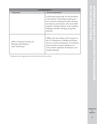| <b>GOVERNMENT</b>                                                                   |                                                                                                                                                                                                                                                                                                                   |
|-------------------------------------------------------------------------------------|-------------------------------------------------------------------------------------------------------------------------------------------------------------------------------------------------------------------------------------------------------------------------------------------------------------------|
| Organization                                                                        | About the Organization*                                                                                                                                                                                                                                                                                           |
|                                                                                     | Locally based partnerships are the foundation<br>of the initiative. Partnerships include gover-<br>nors, economic development leaders, business<br>and industry, and educators, who work collab-<br>oratively to develop solutions to the workforce<br>challenges and labor shortages facing these<br>industries. |
| Office of Assistant Secretary for<br>Planning and Evaluation<br>http://aspe.hhs.gov | ASPE is the main advisor of the Secretary of<br>the U.S. Department of Health and Human<br>Services on policy development. It coordinates<br>policy activities, research, evaluation, eco-<br>nomic analysis, legislation development, and<br>strategic planning.                                                 |

\*Information about organizations was taken directly from their websites.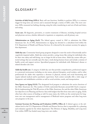## GLOSSARY169

**Activities of daily living (ADLs).** Basic self-care functions. Inability to perform ADLs is a common trigger for long-term care services and is measured through a variety of ADL scales. The most common ADLs measured are bathing, dressing, using the toilet, transferring in and out of beds and chairs, and eating.

**Acute care.** All diagnostic, preventive, or curative treatments of illnesses, including hospital services and physician services, whether delivered to inpatients or outpatients, and all primary care.

**Administration on Aging (AoA).** The federal agency created in 1965 to administer the Older Americans Act. As of 1992, Administration on Aging was elevated to a subcabinet level within the U.S. Department of Health and Human Services. It is directed by the assistant secretary for aging in that department.

**Adult day care.** Community-based group programs designed to meet the needs of functionally and/or cognitively impaired adults. Adult day centers provide a caring, home-like setting for individuals who, for their own safety and well-being, can no longer be left at home alone. Adult day centers offer protected settings that are normally open five days a week during business hours and include a mixture of health, social, and support services. Specialized programs for individuals with Alzheimer's disease or related disorders also exist.

**Adult day health care.** A category of adult day care that provides comprehensive, professional support in a protected environment including on-site nurses, physical therapists, social workers, and/or other professionals for adults who experience a decrease in physical, mental, and social functioning and require tailored medical and/or psychiatric supervision. Such centers normally offer a wide range of therapeutic and rehabilitative activities as well as social activities, meals, and transportation.

**Area Agency on Aging (AAA).** The designated local program to administer the service functions of the Older Americans Act. The number of AAAs nationwide fluctuates around 660. Each is responsible for implementing the Title III services of the Older Americans Act and the other Older Americans Act objectives in its Planning and Service Area with budgets that flow from state units on aging. AAAs often have other sources of funding as well. In many states, the AAAs are the central point for longterm care case management and/or management of Medicaid waiver programs and other long-term care programs in the area.

**Assistant Secretary for Planning and Evaluation (ASPE), Office of.** A federal agency at the subcabinet level in the U.S. Department of Health and Human Services that is responsible for a planning and evaluation agenda for the whole department. The Division of Aging, Disability, and Long-term Care within ASPE has funded many long-term care studies.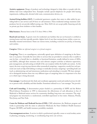**Assistive equipment.** Range of products and technology designed to help elders or people with disabilities lead more independent lives. Examples include special telephones for people with hearing impairments, walking aids, elevated toilet seats, communication devices, etc.

**Assisted-living facilities (ALF).** A residential apartment complex that caters to older adults by providing built-in care services and 24-hour on-call assistance. These residential settings maximize independence but do not provide skilled nursing care. Most ALFs do not accept public financing and rely on private pay from residents or their families.

**Baby boomers.** Persons born in the U.S. from 1946 to 1964.

**Board and care home.** A generic term for residential care facilities that are not licensed or certified as nursing homes and that typically provide a lighter level of care than nursing homes within a more residentially oriented environment. States use various terms, including *residential care facility*, in licensing such entities.

**Caregiver.** Either an *informal caregiver* or a *formal caregiver*.

**Caregiving**. There is no unambiguous, universally agreed-upon definition of caregiving in the literature or in practice. Generally the term refers to services that are provided to someone who is unable to care for him- or herself due to a disability or functional limitation, usually defined in terms of ADLs and IADLs, although these measures miss such relevant caregiver activities as behavior supervision, pain management, and advocating on behalf of the care recipient within the health care system. In this report, the term *caregiving* may denote either nonmedical caregiving—supportive, mostly low-tech personal care (such as help with bathing or eating) or medically necessary caregiving—providing healt care (such as administering oral and intravenous medications and attending to wounds). We have attempted to distinguish between these two very different types of caregiving when it is important to be clear as to which type is being discussed.

**Care manager.** A professional who finds and coordinates appropriate social and medical services for elders or persons with a disability and their families. Sometimes referred to as a "case manager." See *provider*.

**Cash and Counseling.** A demonstration project funded as a partnership of ASPE and the Robert Wood Johnson Foundation in 1995 to demonstrate the effectiveness of cash allocations in lieu of Medicaid or Medicaid waiver services for community-dwelling, long-term care consumers. The original program was structured as a randomized, controlled experiment in four states: Arkansas, Florida, New Jersey, and New York.

**Center for Medicare and Medicaid Services (CMS).** CMS administers the Medicare program and works in partnership with the states to administer Medicaid, the State Children's Health Insurance Program (SCHIP), and health insurance portability standards.

**Care management services.** A service in which a professional, typically a nurse or social worker, assists in planning, arranging, monitoring, or coordinating long-term care services.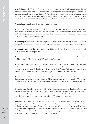**Certified nurse aide (CNA).** A CNA has completed training as a nurse's aide (or assistant) and is certified to perform these duties under the direction of a registered nurse or appropriate therapist, i.e., personal care, assisting with ambulation. CNAs help nurses in nearly every aspect of nursing care in hospitals, clinics, home health, assisted-living, private homes, and doctor's offices. In hospitals, *nursing assistants* also provide daily care to patients, such as helping with meals, baths, exercises, and treatments.

#### **Certified nursing assistant (CNA).** See *certified nurse aide*.

**Chronic care.** Ongoing provision of medical, health, social, psychological, and spiritual care services that enable persons with serious and persistent conditions to optimize their functional independence and well-being. A disease or condition is one that lasts over a long period of time and typically cannot be cured, often associated with disability.

**Community-based services.** Services designed to help older and functionally impaired people stay independent and remain in their own homes (e.g., adult day care, senior centers, day respite programs).

**Community support facility.** Residential care facilities (rest homes) licensed to provide care to individuals with mental health problems.

**Companionship services.** Companions visit isolated and homebound elders for conversation, reading, and light errands. May also be termed "friendly visitor" services.

**Consumer-directed care.**Long-term care where the client (or consumer) has a strong role in planning and directing his or her own individual care. Consumer-directed care is sometimes contrasted to agency-directed care, though the distinction is not part of the definition. At its most pronounced, consumer-direction means that clients select, train, supervise, and fire their care attendants.

**Continuing-care retirement community.** A residential campus that provides a continuum of care from private apartments to assisted-living to skilled nursing care—all in one location. The primary advantage of this model is that an individual or couple does not need to relocate if health care needs change over time.

**Custodial care.** Custodial care is the provision of services and supplies that can be given safely and reasonably by individuals who are neither skilled nor licensed medical personnel, including assistance with activities of daily living and related nonmedical care. Medicare specifically prohibits reimbursement for custodial care services in-home or in a nursing home. (Contrast with *skilled care*.)

**Direct care worker (DCW).** DCWs are known by many titles, including certified nursing assistant (CNA), nursing assistant, home health aide, home care aide, personal assistant, personal care attendant, and direct support professional. They provide an estimated 70 to 80 percent of the paid hands-on, long-term care and personal assistance received by Americans who are aged, chronically ill, or living with disabilities. DCWs work in many places, including nursing homes, clients' homes, adult day centers, assisted-living facilities, and other community settings.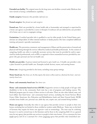**Extended care facility.** The original name for the long-term care facilities covered under Medicare that were viewed as having a rehabilitation capability.

**Family caregiver.** Someone who provides *informal care*.

**Formal caregiver.** See *formal care* and *caregiver*.

**Formal care.** Paid care provided by a home health aide or homemaker and arranged or supervised by a home care agency or provided by a nurse or therapist. It embraces all care delivered by care providers of in-home care or care in congregate settings.

**Geriatrician.** A medical specialist who is qualified to care for older people. In the United States, geriatricians are subspecialists of either internal medicine or family practice who have completed additional training and passed a specialty examination.

**Health care.** The prevention, treatment, and management of illness and the preservation of mental and physical well-being through the services offered by medical and health professionals. In the context of caregiving, health care refers to medically necessary services that must be provided by and/or supervised by medical professionals, such as RNs, as opposed to those nonmedical services provided by caregivers who give personal care but not health care.

**Health care provider.** A person trained and licensed to give *health care*. A health care provider is also a place licensed to provide health care. Examples include doctors, nurses, and nursing homes.

**Home care.** *Caregiving* provided in the home, including many group settings.

**Home-based care.** See *home care*. In this report, the term is often used as a shortcut for *home- and community-based care*.

**Home- and community-based care.** See *home-care*.

**Home- and community-based services (HCBS).** Supportive services to help people of all ages with disabilities to live in the community. Each state has a mix of programs and funding sources. The Medicaid program pays for many of these services in all states. There are also other federal, state, and local dollars that fund home- and community-based services, including the Social Services Block Grant, Older Americans Act, Education and Rehabilitation funds and State General funds. HCBS includes home health care, personal care, adult day care, respite care, and assisted-living facilities.

**Home care agency.** Generally, this refers to any agency that provides services to people in their own homes, including but not limited to those certified as vendors under Medicare. States vary on the kind of licensure they require for home care agencies—and on terminology. The term may be confusing because it is used in several ways in the literature and by those in the caregiving field: (1) as a general term for any agency that provides any services to people in their own homes; (2) as a synonym for *home health agency*; and (3) as a synonym for a *home caregiving agenc*y that provides only nonmedical care-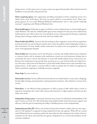giving services. In this report, *home care agency* means any agency that provides either *both* personal and healthcare or that provides only personal care.

**Home caregiving agency.** Any organization providing nonmedical, in-home caregiving services. It is distinct from a *home health agency*. (See *home care agency*, which is a more generic term.) Home caregiving agencies do not accept Medicare/Medicaid reimbursement, and so only provide "medically necessary" caregiving under Medicare/Medicaid rules.

**Home health agency.** Ordinarily, an agency certified to receive reimbursement as a home health agency under Medicare. The rules for certified health agencies have changed over the years, but certified home health agencies must offer at least two of six specified services: nursing, physical therapy, occupational therapy, speech therapy, medical social work, and home health aides.

**Home health aide (HHA).** A person who has training in those supportive services that are required to provide personal care and emotional comfort and to assist the patient toward independent living in a safe environment. In home health, written instructions for patient care are prepared by a registered nurse or the appropriate therapist.

**Home health care.** Sometimes used in the literature to include only health-related services delivered at a person's home, such as assistance with medications, wound care, and intravenous therapy. Just as commonly, this term is used in the literature to mean both health-related services and *personal care*. Because *home health agencies* also provide basic personal care as a part of their health care-related services, this term is often used in the literature to mean both health-related services and nonmedical caregiving services. In this report, a conscious effort is made to separate the two kinds of caregiving into either nonmedical caregiving or medically necessary caregiving.

**Home help.** See *home health care.*

**Homemaker services.** Services delivered at home that do not include hands-on care, such as shopping, laundry, light cleaning, meal preparation, and transportation assistance. Also referred to as home chore services.

**Homeshare.** A cost-effective living arrangement in which a group of older adults shares a house or apartment. Sometimes this is done with a person who functions as a light caregiver and who may also make some meals.

**Independent-living centers.** Community-based resource centers for individuals with disabilities of all types. Centers across the U.S. offer information about public benefits and local resources, support, and advocacy, with the goal of maximizing the ability of disabled persons to live independently.

CAREGIVING IN AMERICA

**Independent provider (IP).** Home care workers and personal assistance workers who are some equivalent of "self-employed" as opposed to being employed by home care agencies. When IPs are covered under Medicaid, they are sometimes paid by the state (after the client authorizes the number of hours), sometimes by the client, and sometimes by agencies designated to act as fiscal intermediaries for the consumer-employers.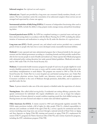#### **Informal caregiver.** See *informal care* and *caregiver*.

**Informal care.** Unpaid care provided by a long-term care consumer's family members, friends, or volunteers. The term sometimes carries the connotation of an unlicensed caregiver whose services are not arranged and supervised by a home care agency.

**Instrumental activities of daily living (IADLs).** A measure of independent functioning often used as assessment. IADLs include the ability to shop, prepare meals, manage money, and perform housekeeping duties.

**Licensed practical nurse (LPN).** An LPN has completed training as a practical nurse and may perform selected nursing duties in accordance with the Illinois Nursing Act of 1997, including the administration of treatments and medications in caring for the ill, under the direction of a *registered nurse*.

Long-term care (LTC). Health, personal care, and related social services provided over a sustained period of time to people who have lost or never developed certain measurable functional abilities.

**Medicaid.** A state-operated and state-administered program that is financed jointly by the state government and the federal government according to a matching formula and that provides medical benefits for low-income people in need of health and medical care. States operate their Medicaid programs with substantial policy-setting discretion but under general federal guidelines. Medicaid was authorized in 1965 under Title 19 of the Social Security Act.

**Medicare.** A nationwide health insurance program for people 65 and over, for people eligible for social security disability payments for two years or more, and for certain workers and their dependents who need kidney transplantations or renal dialysis. The program was enacted in 1965 as Title 18 of the Social Security Act. Under Part A, it covers hospital care and limited nursing home care. Under Part B, it includes physician services, home health care, laboratory services, and medical equipment. Consumers contribute to the costs of Medicare through premiums, deductibles, and co-payments as specified under the law.

**Nurse.** A person trained to take care of the sick, injured, or disabled under the supervision of a doctor.

**Nursing home.** Also called *skilled nursing facility*. A residential care setting offering a protective, therapeutic environment for individuals who require rehabilitative care or can no longer live independently because of chronic physical or mental condition requiring round-the-clock skilled nursing care. Nursing homes are state-licensed and subject to certain state and federal regulations.

**Older Americans Act (OAA).** A statute enacted in 1965 and subsequently regularly amended. The OAA's major provisions include a bill of rights for older people (Title I), a federal responsibility to advocate and coordinate on behalf of the aged (Title II), a service capacity for nutritional and other services (including some long-term care services) through a national network of State Units on Aging and Area Agencies on Aging (Title III), training and research on aging (Title IV), employment for seniors (Title V), programs for Native American tribes (Title VI), and a variety of protective programs, including the LTC ombudsman program (Title VII).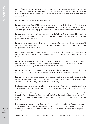**Paraprofessional caregiver.** Paraprofessional caregivers are home health aides, certified nursing assistants, personal attendants, and other frontline caregivers working in nursing homes, assisted-living facilities, adult care homes, group homes for the mentally and physically disabled, and individual clients' residences.

**Paid caregiver.** Someone who provides *formal care.*

**Personal assistant services (PAS).** Services to assist people with ADL deficiencies with their personal care. PAS may be provided, at state option, as part of the state Medicaid plan. Sometimes PAS are provided through independently employed care providers and are contrasted to care from home care agencies.

**Personal care.** The functions of a nonmedical caregiver, including assistance with activities of daily living, self-administration of medications, bathing, dressing, grooming, feeding, ambulation, changing position in bed, and other tasks.

**Person-centered care or person-first.** Honoring the person before the task. These practices provide the basis for creating a daily life worth living, striving to nurture the mind and the spirit, and promoting growth and development for all.

**Post-acute care.** Care that follows a hospital stay and is usually related to that stay. Medicare covers the following types of post-acute care: rehabilitation center care, skilled nursing home care, and home health care.

**Primary care.**Basic or general health and preventive care provided when a patient first seeks assistance from the medical care system. It is also defined as the entry point into the health care system and is generally provided in a physician's office or health care clinic setting.

**Primary caregiver.** The person (usually the spouse or adult child) that takes on the main or day-to-day responsibility of caring for the physical, psychological, and/or social needs of another person.

**Provider.** The term most commonly refers to institutions—such as hospitals, clinics, home caregiving agencies, nursing homes—that provide health care, caregiving, or related services. The term sometimes also refers to individuals who provide health care or caregiving.

**Registered nurse (RN).** A nurse who has completed extensive training and has passed a specific state qualifying examination in order to perform complete nursing services. RNs are licensed under state laws.

**Residential care facility.** A generic term for a group home, specialized apartment complex or other institution that provides care services where individuals live. The term is used to refer to a range of residential care options, including assisted-living facilities, board and care homes, and skilled nursing facilities.

**Respite care.** Temporary or intermittent care for individuals with disabilities, illnesses, dementia, or other health concerns to give relief to caregivers from the demands of ongoing care. Respite care can be provided at home, in the community (e.g., adult day care centers or special respite programs), or overnight in a facility.

**Skilled care.** The provision of services and supplies that can be given safely and effectively only by, or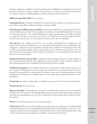under the supervision of, skilled or licensed medical personnel. Skilled care is medically necessary when provided to improve the quality of health care of patients or to maintain or slow the decompensation of a patient's condition, including palliative treatment. (Contrast with *custodial care*).

#### **Skilled nursing facility (SNF).** See *nursing home.*

**Social adult day care.** A category of adult day care that focuses on socialization and therapeutic recreation. There is typically no health monitoring or nursing oversight.

**Social Security Disability Insurance (SSDI).** An extension of Medicare coverage (effective 1973) to include disabled persons under 65 who qualify for Social Security cash disability benefits (for at least 12 consecutive months) or who require hemodialysis or kidney transplantation. The Medicare benefits so provided are the same as for persons age 65 and over. Beneficiaries must have worked under the Social Security Act five years out of the previous ten years before they were disabled.

**Sub-acute care.** Also called *transitional care*. Care of persons discharged from a hospital who still require active treatment, rehabilitation, or close monitoring. As hospital payment under Medicare was changed to a prospective payment regardless of length of stay, patients were discharged earlier. This care that was formerly provided under a hospital's aegis is now called sub-acute care. Sub-acute care can be provided in nursing homes with heavier nurse staffing or in converted facilities that represent former excess hospital capacity.

**Supplemental Security Income (SSI).** A federal government program that pays monthly benefits to low-income individuals with few assets. Beneficiaries must be age 65 or older or blind or disabled. A basic national payment level is established by the federal government annually.

**Traditional nursing home.** These facilities provide care to people who can't be cared for at home or in the community. Nursing homes provide a wide range of personal care and health services. For most people, this care generally is to assist people with support services such as dressing, bathing, and using the bathroom for people who are unable to take care of themselves due to physical, emotional, or mental problems.

**Transferring.** An activity of daily living—the ability to move in or out of a bed, chair, or wheelchair.

**Transitional care.** See *sub-acute care.*

**Wage pass-through.** A state designates some part of a reimbursement increase for one or more public funding sources for long-term care (typically Medicaid, but sources may also include Older Americans Act funds, state appropriations, etc.) and uses it specifically to increase wages and/or benefits for frontline workers.

**Waivers.** Any authorized exemption of a statutory program.

**1915(c) waivers.** Waiver under the Social Security Act that allows states that have successfully applied to federal authorities to use matching Medicaid funds with much more flexibility to cover home- and community-based services not ordinarily covered by Medicaid or to waive other Medicaid rules as long as the service recipients are nursing-home certifiable. Also known as 2176 waivers.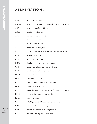# ABBREVIATIONS

| AAA             | Area Agency on Aging                                         |
|-----------------|--------------------------------------------------------------|
| AAHSA           | American Association of Homes and Services for the Aging     |
| ADA             | Americans with Disabilities Act                              |
| $\mathrm{ADLs}$ | Activities of daily living                                   |
| AGS             | American Geriatrics Society                                  |
| AHCA            | American Health Care Association                             |
| $\rm ALF$       | Assisted-living facilities                                   |
| AoA             | Administration on Aging                                      |
| ASPE            | Office of Assistant Secretary for Planning and Evaluation    |
| BBA             | <b>Balanced Budget Act</b>                                   |
| <b>BJBC</b>     | Better Jobs Better Care                                      |
| <b>CCRC</b>     | Continuing-care retirement communities                       |
| <b>CMS</b>      | Center for Medicare and Medicaid Services                    |
| CNA             | Certified nurse aide (or assistant)                          |
| <b>DCW</b>      | Direct care worker                                           |
| DOL             | Department of Labor                                          |
| ETA             | Employment and Training Administration                       |
| FCA             | Family Caregiver Alliance                                    |
| GCM             | National Association of Professional Geriatric Care Managers |
| <b>HCBS</b>     | Home- and community-based services                           |
| HHA             | Home health aide                                             |
| HHS             | U.S. Department of Health and Human Services                 |
| IADLs           | Instrumental activities of daily living                      |
| <b>IFAS</b>     | Institute for the Future of Aging Services                   |
| ILC-USA         | <b>International Longevity Center-USA</b>                    |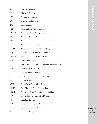| IP           | Independent provider                                  |
|--------------|-------------------------------------------------------|
| J&J          | Johnson & Johnson                                     |
| <b>LCC</b>   | Life care communities                                 |
| <b>LPN</b>   | Licensed practical nurse                              |
| <b>LTC</b>   | Long-term care                                        |
| <b>MMI</b>   | MetLife Mature Market Institute                       |
| MR/DD        | Mental retardation/developmental disability           |
| <b>NAC</b>   | National Alliance for Caregiving                      |
| <b>NAHC</b>  | National Association for Home Care and Hospice        |
| <b>NCC</b>   | National Center on Caregiving                         |
| <b>NFCSP</b> | National Family Caregiver Support Program             |
| <b>NQCC</b>  | National Quality Caregiving Coalition                 |
| <b>NYBGH</b> | New York Business Group on Health                     |
| OAA          | Older Americans Act                                   |
| OECD         | Organisation for Economic Cooperation and Development |
| <b>PAS</b>   | Personal assistant services                           |
| PHI          | Paraprofessional Healthcare Institute                 |
| <b>RCI</b>   | Rosalynn Carter Institute for Caregiving              |
| <b>RN</b>    | Registered nurse                                      |
| RWJF         | Robert Wood Johnson Foundation                        |
| <b>SCHIP</b> | State Children's Health Insurance Program             |
| <b>SCSHE</b> | Schmieding Center for Senior Health and Education     |
| <b>SEIU</b>  | Service Employees International Union                 |
| <b>SNF</b>   | Skilled nursing facility                              |
| SSDI         | Social Security Disability Insurance                  |
| SSI          | Supplemental Security Income                          |
| VA           | Veterans Affairs, U.S. Department of                  |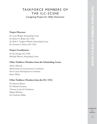## TASKFORCE MEMBERS OF THE ILC-SCSHE

Caregiving Project for Older Americans

### **Project Directors**

Dr. Larry Wright, Schmieding Center Dr. Robert N. Butler, ILC-USA Dr. Beth C. Vaughan-Wrobel, Schmieding Center Dr. Everette E. Dennis, ILC-USA

## **Project Coordinators**

Dr. Ken Knapp, ILC-USA Michelle Watson, Schmieding Center

## **Other Taskforce Members from the Schmieding Center**

Valerie Alsbrook Hardy Doyle (Communications Consultant) Steve Carter (Development Consultant) Sherry White

## **Other Taskforce Members from the ILC-USA**

Dr. Harrison Bloom Dr. Michael Gusmano Vivienne Lorijn de Usandivaras Megan McIntyre Dr. Charlotte Muller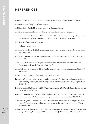# REFERENCES

Aaronson D, Sullivan D. 2001. Growth in worker quality. *Economic Perspectives* 4th Q:53–74.

Administration on Aging. http://www.aoa.gov.

AGS Foundation for Health in Aging. http://www.healthinaging.org.

American Association of Homes and Services for the Aging. http://www.aahsa.org.

American Healthcare Association. 2003. *Results of the 2002 AHCA survey of nursing staff vacancy and turnover in nursing homes*. Washington, DC: American Health Care Association.

American Red Cross. www.redcross.org.

- Amgen. http://www.amgen.com.
- Anderson G, Knickman JR. 2001. Changing the chronic care system to meet people's needs. *Health Aff* 22(6):146–60.
- Anti-Ageism Taskforce at the International Longevity Center. 2006. *Ageism in America*. New York: ILC-USA.
- Arno PS. 2002. *Economic value of informal caregiving: 2000.* Presentation before the American Association for Geriatric Psychiatry, Orlando, FL.
- Arno PS, Levine C, Memmott MM. 1999. The economic value of informal caregiving. *Health Aff* 18(2):182–8.
- Atlantic Philanthropies. http://www.atlanticphilanthropies.org.
- Benjamin AE. 1999. A normative analysis of home care goals. In *Goals, responsibilities, and effectiveness: advancing the conceptual underpinnings of home-based services* (special issue). *J Aging Health* 11(3):445–68.
- Bowers B, Esmond S, Jacobson N. 2003. Turnover reinterpreted: CNAS talk about why they leave. *J Gerontol Nurs* 29(3):36–43.
- Brannon D, Zinn JS, Mor V, Davis J. 2002. Exploration of job, organizational and environmental factors associated with high and low nursing assistant turnover. *Gerontologist* 42(2):159–68.
- Cannuscio CC, Jones C, Kawachi, et al. 2002. Reverberation of family illness: a longitudinal assessment of informal caregiver and mental health status in the nurses' health study. *Am J Public Health* 92:305–1311.
- Carlson BL, Dale S, Foster L, et al. 2005. Effect of consumer direction on adults' personal care and wellbeing in Arkansas, New Jersey, and Florida. Princeton, N.J.: Mathematica Policy Research, Inc.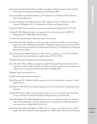- Cash and Counseling National Program Office at the Boston College Graduate School of Social Work. http://www.cashandcounseling.org/, accessed August 2006.
- Centers for Medicare and Medicaid Services, U.S. Department of Health and Human Services. http://www.medicare.gov.
- Centers for Medicare and Medicaid Services. 2006. *Medicare and You*. CMS Pub. No. 10050 ( January). Washington, DC: U.S. Department of Health and Human Services.
- Cohen MA. 2003. Private long-term care insurance: a look ahead. *J Aging Health* 15(1):74–98.
- Coleman B. 2000. *Helping the helpers: state-supported services for family caregivers.* (#2000-07) Washington, DC: AARP Public Policy Institute.
- Community Living Exchange Collaborative. http://www.hcbs.org.
- Dale S, Brown R. 2005. *The effects of cash and counseling on Medicaid and Medicare costs: findings for adults in three states.* Washington, DC: Office of Disability, Aging and Long-term Care Policy, Office of the Assistant Secretary for Planning and Evaluation, U.S. Department of Health and Human Services (May).
- Dennis EE, Gusmano MK, Knapp K, et al. 2005. *Arkansas: a good place to grow old?* The Arkansas Aging Project at the International Longevity Center. NY: ILC-USA.
- Donald W. Reynolds Foundation. http://www.dwreynolds.org.
- Eaton SC. 2001. What a difference management makes! Nursing staff turnover variation within a single labor market. In Abt Associates, eds., *Report to Congress: appropriateness of minimum nurse staffing ratios in nursing homes, Phase II final report*, Cambridge, MA.
- Elderweb. http://www.elderweb.com.
- Eli Lilly and Company. http://www.lilly.com.
- Feder J, Komisar HL, Niefeld M. 2000. Long-term care in the United States: an overview. *Health Aff* 19(3):40–56.
- Feinberg LF. 2006. How far has family caregiving come? A 30-year perspective. *Aging Today* ( July-August):3.
- Feldman PH, Ahrens J. 2005. *Linking housing and long-term care services for older adults*. New York: Center for Home Care Policy & Research, Visiting Nurse Service of New York.
- Fisher HM, Raphael TG. 2003. Managed long-term care: care integration through care coordination. In From philosophy to practice: selected issues in financing and coordinating long-term care (special issue). *J Aging Health* 15(1):223–48.
- Fox-Grange W, Coleman B, Folkemer D. 2004. *The states' response to the Olmstead decision: a 2003 update*. National Conference of State Legislature and AARP Public Policy Institute (February).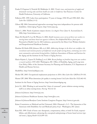- Franks P, Chapman S, Nowicki M, Mukherjea A. 2002. *Trends, issues, and projections of supply and demand for nursing aides and home health care aides in California.* San Francisco: Center for Health Professions, University of California.
- Fullerton HN. 1999. Labor force participation: 75 years of change, 1950–98 and 1998–2025. *Mon Labor Rev* 122(Dec):3–12.
- Gibson MJ. 2004. International approaches encourage long-term independence for persons with disabilities. *Global Aging Program*. http://www.aarp.org.
- Girion L. 2006. Needs of patients outpace doctors. *Los Angeles Times* ( June 4). Accessed June 8, 2006, http://www.latimes.com.
- Hams M, Herold N, Lee M, Worters A. 2002. *Health insurance access survey of direct care workers in nursing homes and home-based care agencies in Boston, New Bedford/Fall River: final report.* Presented at Health Care for All Conference, sponsored by the Direct Care Workers Initiative and Paraprofessional Healthcare Institute.
- Harahan M, Kiefer KM, Johnson AB, et al. 2003. *Addressing shortages in the direct care workforce: the recruitment and retention practices of California's not-for-profit nursing homes, continuing-care retirement communities and assisted-living facilities. California* Association of Homes and Services for the Aging and the Institute for the Future of Aging Services.
- Harris-Kojetin L, Lipson D, Fielding J, et al. 2004. *Recent findings on frontline long-term care workers: a research synthesis 1999–2003*. Washington, DC: Office of Disability, Aging, and Long-term Care Policy, Office of the Assistant Secretary for Planning and Evaluation, U.S. Department of Health and Human Services.

HealthPass. http://www.healthpass.com.

Hecker DE. 2005. Occupational employment projections to 2014. *Mon Labor Rev* 128(Nov):70–101.

Hunter LW. 2000. What determines job quality in nursing homes? *Ind Labor Relat Rev* 53(3):463–81.

Institute for the Future of Aging Services. http://www.futureofaging.org.

Jervis LL. 2002. Working in and around the "chain of command": power relations among nursing staff in an urban nursing home. *Nursing* 9(1):12–23.

Johnson & Johnson. http://www.jnj.com.

Johnson & Johnson Healthcare Systems. http://www.jjhcs.com.

Johnson & Johnson/Rosalynn Carter Institute Caregivers Program. http://www.rci.gsw.edu.

Kaiser Commission on Medicaid and the Uninsured. 2004. Olmstead v. L.C.: The Interaction of the Americans with Disabilities Act and Medicaid *(policy brief ).* Washington, DC ( June).

Kane RA. 1999. Goals of home care: therapeutic, compensatory, either, or both? In Goals, responsibilities, and effectiveness: advancing the conceptual underpinnings of home-based services (special issue). *J Aging Health* 11(3):299–321.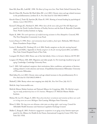Kane RA, Kane RL, Ladd RC. 1998. *The Heart of Long-term Care*. New York: Oxford University Press.

- Kiecolt-Glaser JK, Preacher KJ, MacCallum RC, et al. 2003. Chronic stress and age-related increases in the proinflammatory cytokine IL-6. *Proc Natl Acad Sci USA* 100(15):9090–5.
- Kiecolt-Glaser J, Trask OJ, Speicher JR, Glaser R. 1995. Slowing of wound healing by psychological distress. *Lancet* 346:1194–6.
- Konrad T, Morgan JC, Haviland S. 2003. *Where have all the nurse aides gone? Part III*. Report prepared for the North Carolina Division of Facility Services and the Kate B. Reynolds Charitable Trust. North Carolina Institute on Aging.
- Kopiec K. 2000. *The work experiences of certified nursing assistants in New Hampshire*. Concord, NH: The New Hampshire Community Loan Fund.
- Leon J, Franco S. 1998. *Home- and community-based workforce, final report.* Bethesda, MD: Henry J. Kaiser Foundation Project Hope.
- Levine C, Reinhard SC, Feinberg LF, et al. 2004. Family caregivers on the job: moving beyond ADLs and IADLs. Appendix in *Family caregivers on the job: moving beyond ADLs and IADLs*. New York: United Hospital Fund of New York.
- Loengard AU, Boal J. 2004. Home care of the frail elderly. *Clinics in Geriatric Medicine* 20:795–807.
- Longino CF, Warnes AM. 2005. Migration and older people. In *The Cambridge handbook of age and aging.* Cambridge: Cambridge University Press.
- Luz C. 2001. Self-employed caregivers: their motivations, labor conditions, and patterns of decision making related to work selection and tenure. (Unpublished dissertation) Milwaukee: University of Wisconsin-Milwaukee.
- MacCallum R, et al. 2003. Chronic stress and age-related increases in the proinflammatory IL-6. *Proc Natl Acad Sci USA* 100(15):9090–5.
- Markoff J. 2006. Brainy robots start stepping into daily life. *New York Times*. July 18, C1.
- MetLife. http://www.metlife.com.
- MetLife Mature Market Institute and National Alliance for Caregiving. 2006. *The MetLife caregiving cost study: productivity losses to U.S. business.* Westport, CT: MetLife Mature Market Institute.
- Mickus M, Luz CC, Hogan A. 2004. *Voices from the front: recruitment and retention of direct care workers in long-term care across Michigan.* East Lansing: Michigan State University.
- Moses S. 2004. *The long-term care dilemma, what states are doing right—and wrong.* Council for Affordable Health Insurance and American Legislative Exchange Council*.*
- Muller C, Knapp K. 2003. *Productive engagement: occupations in an aging society.* Interim report prepared for the Alliance for Health & the Future, International Longevity Center-USA. New York: ILC-USA.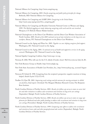National Alliance for Caregiving. http://www.caregiving.org.

- National Alliance for Caregiving. 2003. *Family caregiving and public policy principles for change*. Bethesda, MD: National Alliance for Caregiving.
- National Alliance for Caregiving and AARP. 2004. *Caregiving in the United States.* http://assets.aarp.org/rgcenter/il/us\_caregiving.pdf.
- National Alliance for Caregiving and Brandeis University National Center on Women and Aging. 1999. *The MetLife juggling act study: balancing caregiving with work and the costs involved.* Westport, CT: MetLife Mature Market Institute.
- National Clearinghouse on the Direct Care Workforce and the Direct Care Workers Association of North Carolina. 2005. *Results of the 2005 national survey of state initiatives on the long-term care workforce.* Bronx, NY: National Clearinghouse on the Direct Care Workforce.
- National Council on the Aging and Pfizer Inc. 2003. *Together we care: helping caregivers find support*. Washington, DC: National Council on the Aging.
- National Council on the Aging. 2001. A *national survey of health and supportive services in the aging network*. Washington, DC: National Council on the Aging.

National Quality Caregiving Coalition. http://www.nqcc-rci.org.

Newman B. 2006. Who will care for the U.S. elderly if border closes? *Wall Street Journal*. July 26, B1.

New York Business Group on Health. http://www.nybgh.org.

- New York State Association of Health Care Providers, Inc., http://www.nyshcp.org., accessed August 2006.
- Newsom JT, Schulz R. 1998. Caregiving from the recipient's perspective: negative reactions to being helped. *Health Psychol* 17(2):172–81.
- Noelker LS, Ejaz FK. 2001. *Improving work settings and job outcomes for nursing assistants in skilled care facilities*, final report. Cleveland: The Margaret Blenkner Research Center, The Benjamin Rose Institute.
- North Carolina Division of Facility Services. 2001. *Results of a follow-up survey to states on career ladder and other initiatives to address aide recruitment and retention in long-term care settings* (September). Raleigh: North Carolina Division of Facility Services.
- North Carolina Division of Facility Services. 2000. *Results of a follow-up survey to states on wage supplements for Medicaid and other public funding to address aide recruitment and retention in long-term care settings* (November). Raleigh: North Carolina Division of Facility Services.

North Carolina Division of Facility Services. 1999. *Comparing state efforts to address the recruitment and retention of nurse aide and other paraprofessional aide workers* (September). Raleigh: North Carolina Division of Facility Services.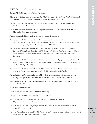O\*NET Online. http://online.onetcenter.org.

Oakland Medical Center. http://oakland.kaiser.org.

- O'Brien E. 2005. *Long-term care: understanding Medicaid's role for the elderly and disabled* (November)*.* Washington, DC: Kaiser Commission on Medicaid and the Uninsured.
- O'Brien E, Elias R. 2004. *Medicaid and long-term care.* Washington, DC: Kaiser Commission on Medicaid and the Uninsured.
- Office of the Assistant Secretary for Planning and Evaluation, U.S. Department of Health and Human Services. http://aspe.hhs.gov.
- Paraprofessional Healthcare Institute. http://www.paraprofessional.org.
- Paraprofessional Healthcare Institute and North Carolina Department of Health and Human Services. 2004. *Results of the 2003 national survey of state initiatives on the long-term care directcare workforce* (March). Bronx, NY: Paraprofessional Healthcare Institute.
- Paraprofessional Healthcare Institute and North Carolina Department of Health and Human Services Office of Long-Term Care. 2002. *Results of the 2002 national survey of state initiatives on the long-term care direct-care workforce* (May). Bronx, NY: Paraprofessional Healthcare Institute.
- Paraprofessional Healthcare Institute and Institute for the Future of Aging Services. 2005. The role of training in improving the recruitment and retention of direct care workers in long-term care. *Workforce Strategies* No. 3 ( January).
- Paraprofessional Healthcare Institute and Institute for the Future of Aging Services. 2003. State wage pass-through legislation: an analysis. *Workforce Strategies* No. 1 (April).
- Parsons S, Simmons W, Penn K, Furlough M. 2003. Determinants of satisfaction and turnover among nursing assistants: the results of a statewide survey. *J Gerontol Nurs* 29(3):51–8.
- Pennington K, Magilvy K. 2003. The role of certified nursing assistants in nursing homes. *J Nurs Adm* 33(11):578–84.
- Pfizer. http://www.pfizer.com.
- Robert Wood Johnson Foundation. http://www.rwjf.org.
- Rosalynn Carter Institute for Caregiving. http://rci.gsw.edu.
- Schmieding Center for Senior Health and Education of Northwest Arkansas. http://www.schmiedingcenter.org.
- Schulz R, Beach SR. 1999. Caregiving as a risk factor for mortality: the caregiver health effects study. *JAMA* 282:2215–9.
- Seavey D, Nakhnikian E, Lipson D. 2005. *Family care and paid care: separate worlds or common ground.* Better Jobs Better Care Issue Brief No. 5 (May).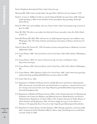**REFERENCES REFERENCES**

Service Employees International Union. http://www.seiu.org.

Silverman RE. 2006. Latest custody battle: who gets Mom. *Wall Street Journal*, August 17, D1.

- Smith C, Cowan C, Heffler S, Catlin A, and the National Health Accounts Team. 2006. National health spending in 2004: recent slowdown led by prescription drug spending. *Health Aff* 25(1):186–96.
- Stone D. 1999. Care and trembling. *American Prospect Online*. http://www.prospect.org, accessed on June 19, 2006.
- Stone RI. 2004. The direct care worker: the third rail of home care policy. *Annu Rev Public Health* 25:521–37.
- Stone RI, Wiener JM. 2001. Who will care for us? Addressing the long-term care workforce crisis. Washington, DC: The Urban Institute and American Association of Homes and Services for the Aging.
- Taylor D, Sloan FA, Norton EC. 1999. Formation of trusts and spend down to Medicaid. *J Gerontol* 54B(4):S193–S201.
- U.S. Census Bureau. 2006. *Statistical Abstract of the United States: 2006* (126th edition). Washington, DC.
- U.S. Census Bureau. 2004. *U.S. Interim Projections by Age, Sex, Race, and Hispanic Origin.* http://www.census.gov.
- U.S. Census Bureau. 2001. *Statistical Abstract of the United States: 2001* (121st edition). Washington, DC.
- U.S. Census Bureau. 2000. *Population Profile of the United States: 2000.* http://www.census.gov/population/www/pop-profile/profile2000.html, accessed on July 23, 2006.
- U.S. Code, Title 29, sec. 2601.
- U.S. Department of Health and Human Services, Health Resources and Services Administration. 2004. *Nursing aides, home health aides, and related health care occupations—national and local workforce shortages and associated data needs.* http://bhpr.hrsa.gov/healthworkforce/reports/nursing homeaid/nursinghome.htm.
- U.S. Department of Health and Human Services' Office of the Assistant Secretary for Planning and Evaluation, the Centers for Medicare and Medicaid Services, Health Resource and Services Administration, Department of Labor's Office of the Assistant Secretary for Policy, Bureau of Labor Statistics and Employment. 2003. *The Future Supply of Long-term Care Workers in Relation to The Aging Baby Boom Generation.* http://aspe.hhs.gov/daltcp/reports/ltcwork.htm.
- U.S. Department of Labor, Bureau of Labor Statistics. 2006. Nursing, psychiatric, and home health aides. *Occupational Outlook Handbook,* 2006–07 edition*.* http://www.bls.gov/oco/ocos165.htm, accessed on July 23, 2006.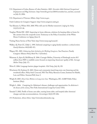- U.S. Department of Labor, Bureau of Labor Statistics. 2005. *November 2004 National Occupational Employment and Wage Estimates.* http://www.bls.gov/oes/2004/november/oes\_nat.htm, accessed on July 23, 2006.
- U.S. Department of Veterans Affairs. http://www.va.gov.
- Utah Coalition for Caregiver Support. http://www.caregivers.utah.gov.
- Van Kleunen A, Wilner MA. 2000. Who will care for Mother tomorrow? *J Aging Soc Policy* 11(2/3):115–26.
- Vaughan-Wrobel BC. 2005. Improving in-home eldercare, solutions for keeping elders at home for life: answers from the nonprofit sector. Testimony to the Policy Committee of the White House Conference on Aging (June 2).
- Visiting Nurse Service of New York. http://www.vnsny.org/research/.
- Walker, AJ, Pratt CC, Eddy L. 1995. Informal caregiving to aging family members: a critical review. *Family Relations* 44(4):402-411.
- Wagner DL. 2001. *Enhancing State Initiatives for Working Caregivers.* San Francisco: Family Caregiver Alliance Policy Brief No. 5 (October).
- Watzman A, Spice B, McElhinny K. 2006. Carnegie Mellon, University of Pittsburgh receive \$15 million from NSF to establish center focused on improving Americans' quality of life. *Carnegie Mellon Today* ( July 17).
- Weise E. 2006. Language barriers plague hospitals. *USA Today*. July 20, 1D.
- Winchester M, Frydman D. 2003. Home and community-based long-term care financing and the woodwork effect. Policy brief*.* Concord, NH: The Policy Resource Center, Institute for Health, Law, and Ethics. Summer/Fall, Issue 3.
- Wright B. 2005. *Direct Care Workers in Long-term Care.* Washington, DC: AARP Public Policy Institute (May).
- Wright L. 2006. Caregiving for Alzheimer's disease: challenges and opportunities. In *Alzheimer's: the disease of the century*, New York: International Longevity Center-USA.
- Yamada Y. 2002. Profile of home care aides, nursing home aides, and hospital aides: historical changes and data recommendations. *Gerontologist* 42(2):199–206.
- 371 Productions. *Almost Home.* http://www.almosthomedoc.org.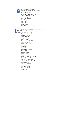

#### SCHMIEDING CENTER FOR SENIOR HEALTH AND EDUCATION

#### **Board of Directors**

Lawrence H. Schmieding, CEO Gilda Underwood, President Lance Taylor, Vice President John Coan, Director Helen Sharpe Robby Zink Patti Williams Robert Rokeby Fred Smith

## INTERNATIONAL LONGEVITY CENTER-USA Board of Directors

Max Link, Ph.D., Chair Marie A. Bernard, M.D. Edward M. Berube Cory A. Booker Robert N. Butler, M.D. John J. Creedon Everette E. Dennis, Ph.D. Susan W. Dryfoos Robert W. Fogel, Ph.D. Lloyd Frank Annie Glenn Senator John Glenn Lawrence K. Grossman Robert D. Hormats Linda P. Lambert Naomi Levine William C. Martin David O. Meltzer, M.D., Ph.D. Evelyn Stefansson Nef Stanley B. Prusiner, M.D. Albert L. Siu, M.D., M.S.P.H. Joseph E. Smith Jackson T. Stephens, Jr. Catharine R. Stimpson, Ph.D. Humphrey Taylor William D. Zabel John F. Zweig